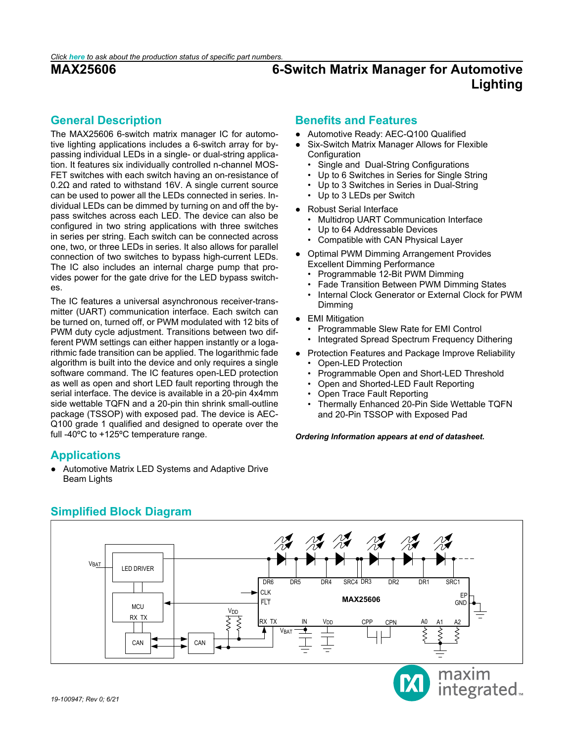# <span id="page-0-0"></span>**General Description**

The MAX25606 6-switch matrix manager IC for automotive lighting applications includes a 6-switch array for bypassing individual LEDs in a single- or dual-string application. It features six individually controlled n-channel MOS-FET switches with each switch having an on-resistance of 0.2Ω and rated to withstand 16V. A single current source can be used to power all the LEDs connected in series. Individual LEDs can be dimmed by turning on and off the bypass switches across each LED. The device can also be configured in two string applications with three switches in series per string. Each switch can be connected across one, two, or three LEDs in series. It also allows for parallel connection of two switches to bypass high-current LEDs. The IC also includes an internal charge pump that provides power for the gate drive for the LED bypass switches.

The IC features a universal asynchronous receiver-transmitter (UART) communication interface. Each switch can be turned on, turned off, or PWM modulated with 12 bits of PWM duty cycle adjustment. Transitions between two different PWM settings can either happen instantly or a logarithmic fade transition can be applied. The logarithmic fade algorithm is built into the device and only requires a single software command. The IC features open-LED protection as well as open and short LED fault reporting through the serial interface. The device is available in a 20-pin 4x4mm side wettable TQFN and a 20-pin thin shrink small-outline package (TSSOP) with exposed pad. The device is AEC-Q100 grade 1 qualified and designed to operate over the full -40ºC to +125ºC temperature range.

# <span id="page-0-1"></span>**Applications**

● Automotive Matrix LED Systems and Adaptive Drive Beam Lights

# **Benefits and Features**

- Automotive Ready: AEC-Q100 Qualified
- Six-Switch Matrix Manager Allows for Flexible Configuration
	- Single and Dual-String Configurations
	- Up to 6 Switches in Series for Single String
	- Up to 3 Switches in Series in Dual-String
	- Up to 3 LEDs per Switch
- Robust Serial Interface
	- Multidrop UART Communication Interface
	- Up to 64 Addressable Devices
	- Compatible with CAN Physical Layer
- Optimal PWM Dimming Arrangement Provides Excellent Dimming Performance
	- Programmable 12-Bit PWM Dimming
	- Fade Transition Between PWM Dimming States
	- Internal Clock Generator or External Clock for PWM Dimming
- EMI Mitigation
	- Programmable Slew Rate for EMI Control
	- Integrated Spread Spectrum Frequency Dithering
- Protection Features and Package Improve Reliability • Open-LED Protection
	- Programmable Open and Short-LED Threshold
	- Open and Shorted-LED Fault Reporting
	- Open Trace Fault Reporting
	- Thermally Enhanced 20-Pin Side Wettable TQFN and 20-Pin TSSOP with Exposed Pad

*Ordering Information appears at end of datasheet.* 

<span id="page-0-2"></span>

# **Simplified Block Diagram**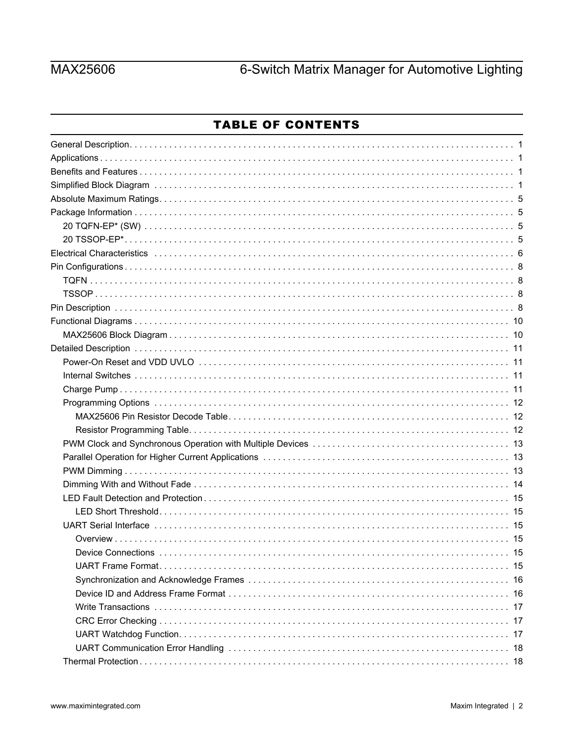# **MAX25606**

# 6-Switch Matrix Manager for Automotive Lighting

# **TABLE OF CONTENTS**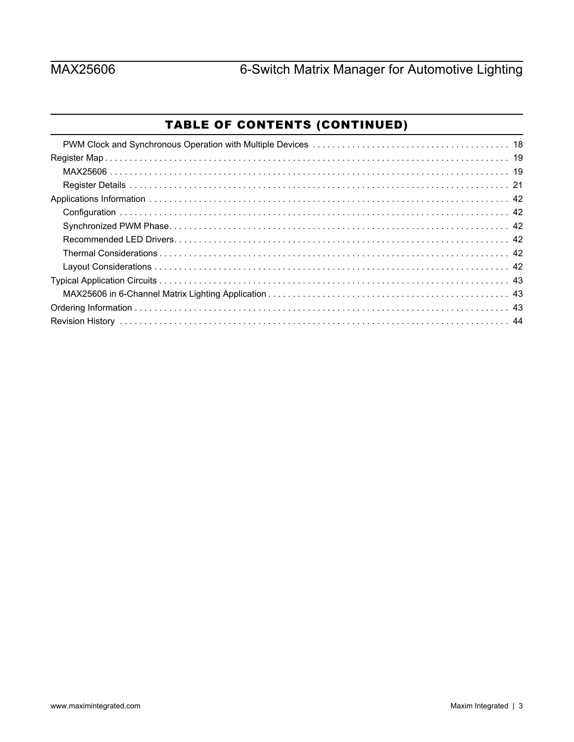# TABLE OF CONTENTS (CONTINUED)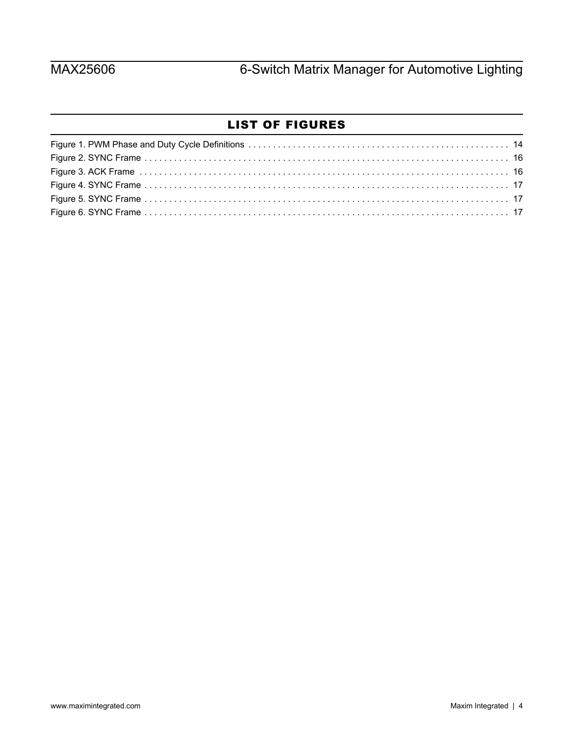# LIST OF FIGURES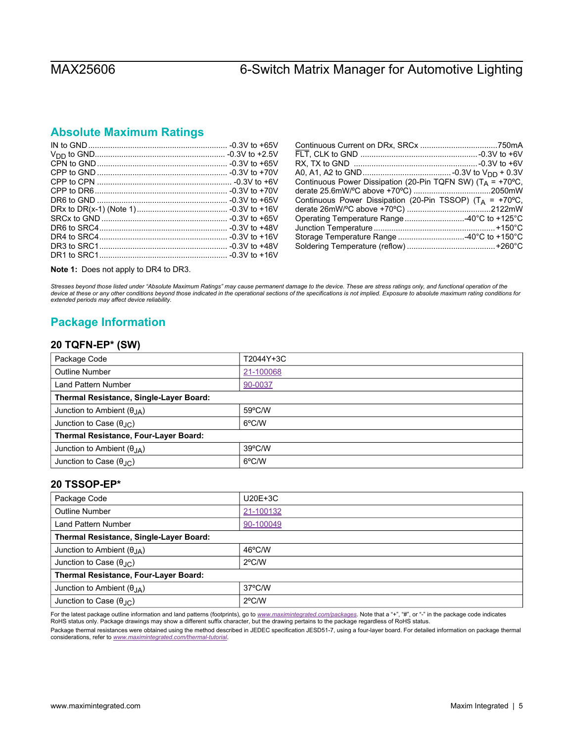# <span id="page-4-0"></span>**Absolute Maximum Ratings**

| Continuous Power Dissipation (20-Pin TQFN SW) ( $T_A$ = +70°C,       |
|----------------------------------------------------------------------|
|                                                                      |
| Continuous Power Dissipation (20-Pin TSSOP) (T <sub>A</sub> = +70°C, |
|                                                                      |
| Operating Temperature Range 40°C to +125°C                           |
|                                                                      |
| Storage Temperature Range 40°C to +150°C                             |
|                                                                      |
|                                                                      |

**Note 1:** Does not apply to DR4 to DR3.

*Stresses beyond those listed under "Absolute Maximum Ratings" may cause permanent damage to the device. These are stress ratings only, and functional operation of the*  device at these or any other conditions beyond those indicated in the operational sections of the specifications is not implied. Exposure to absolute maximum rating conditions for<br>extended periods may affect device reliabi

# <span id="page-4-1"></span>**Package Information**

### <span id="page-4-2"></span>**20 TQFN-EP\* (SW)**

| Package Code                            | T2044Y+3C |  |  |  |
|-----------------------------------------|-----------|--|--|--|
| <b>Outline Number</b>                   | 21-100068 |  |  |  |
| Land Pattern Number                     | 90-0037   |  |  |  |
| Thermal Resistance, Single-Layer Board: |           |  |  |  |
| Junction to Ambient $(\theta_{JA})$     | 59°C/W    |  |  |  |
| Junction to Case $(\theta_{\text{JC}})$ | 6°C/W     |  |  |  |
| Thermal Resistance, Four-Layer Board:   |           |  |  |  |
| Junction to Ambient $(\theta_{JA})$     | 39°C/W    |  |  |  |
| Junction to Case $(\theta_{\text{JC}})$ | 6°C/W     |  |  |  |

### <span id="page-4-3"></span>**20 TSSOP-EP\***

| Package Code                            | $U20E+3C$        |  |  |
|-----------------------------------------|------------------|--|--|
| <b>Outline Number</b>                   | 21-100132        |  |  |
| Land Pattern Number                     | 90-100049        |  |  |
| Thermal Resistance, Single-Layer Board: |                  |  |  |
| Junction to Ambient $(\theta_{JA})$     | 46°C/W           |  |  |
| Junction to Case $(\theta_{\text{JC}})$ | $2^{\circ}$ C/W  |  |  |
| Thermal Resistance, Four-Layer Board:   |                  |  |  |
| Junction to Ambient $(\theta_{JA})$     | $37^{\circ}$ C/W |  |  |
| Junction to Case $(\theta_{\text{AC}})$ | $2^{\circ}$ C/W  |  |  |

For the latest package outline information and land patterns (footprints), go to <u>[www.maximintegrated.com/packages](http://www.maximintegrated.com/packages)</u>. Note that a "+", "#", or "-" in the package code indicates<br>RoHS status only. Package drawings may show a

Package thermal resistances were obtained using the method described in JEDEC specification JESD51-7, using a four-layer board. For detailed information on package thermal considerations, refer to *[www.maximintegrated.com/thermal-tutorial](http://www.maximintegrated.com/thermal-tutorial)*.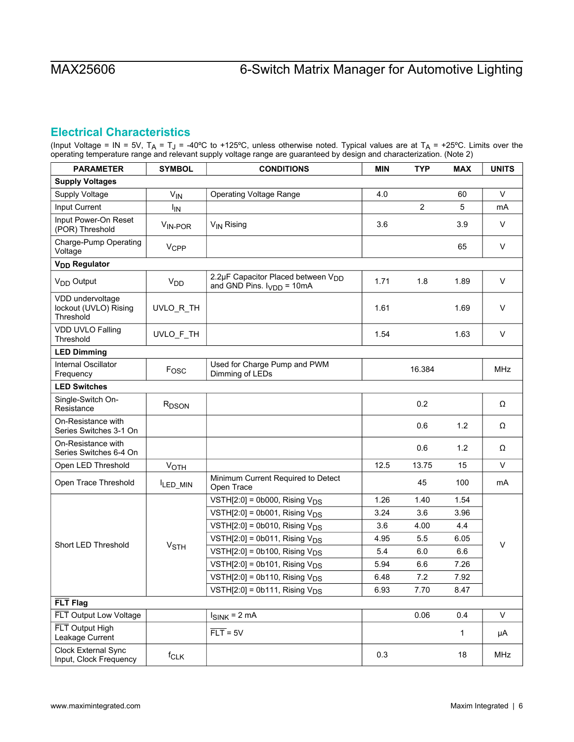# <span id="page-5-0"></span>**Electrical Characteristics**

(Input Voltage = IN = 5V, T<sub>A</sub> = T<sub>J</sub> = -40°C to +125°C, unless otherwise noted. Typical values are at T<sub>A</sub> = +25°C. Limits over the operating temperature range and relevant supply voltage range are guaranteed by design and characterization. (Note 2)

| <b>PARAMETER</b>                                       | <b>SYMBOL</b>          | <b>CONDITIONS</b>                                                                | <b>MIN</b> | <b>TYP</b>     | <b>MAX</b>   | <b>UNITS</b> |
|--------------------------------------------------------|------------------------|----------------------------------------------------------------------------------|------------|----------------|--------------|--------------|
| <b>Supply Voltages</b>                                 |                        |                                                                                  |            |                |              |              |
| Supply Voltage                                         | $V_{IN}$               | <b>Operating Voltage Range</b>                                                   | 4.0        |                | 60           | $\vee$       |
| Input Current                                          | <b>I<sub>IN</sub></b>  |                                                                                  |            | $\overline{2}$ | 5            | mA           |
| Input Power-On Reset<br>(POR) Threshold                | V <sub>IN-POR</sub>    | V <sub>IN</sub> Rising                                                           | 3.6        |                | 3.9          | $\vee$       |
| Charge-Pump Operating<br>Voltage                       | <b>V<sub>CPP</sub></b> |                                                                                  |            |                | 65           | $\vee$       |
| V <sub>DD</sub> Regulator                              |                        |                                                                                  |            |                |              |              |
| V <sub>DD</sub> Output                                 | <b>V<sub>DD</sub></b>  | 2.2µF Capacitor Placed between V <sub>DD</sub><br>and GND Pins. $I_{VDD} = 10mA$ | 1.71       | 1.8            | 1.89         | $\vee$       |
| VDD undervoltage<br>lockout (UVLO) Rising<br>Threshold | UVLO_R_TH              |                                                                                  | 1.61       |                | 1.69         | $\vee$       |
| VDD UVLO Falling<br>Threshold                          | UVLO_F_TH              |                                                                                  | 1.54       |                | 1.63         | V            |
| <b>LED Dimming</b>                                     |                        |                                                                                  |            |                |              |              |
| Internal Oscillator<br>Frequency                       | Fosc                   | Used for Charge Pump and PWM<br>Dimming of LEDs                                  |            | 16.384         |              | <b>MHz</b>   |
| <b>LED Switches</b>                                    |                        |                                                                                  |            |                |              |              |
| Single-Switch On-<br>Resistance                        | R <sub>DSON</sub>      |                                                                                  |            | 0.2            |              | Ω            |
| On-Resistance with<br>Series Switches 3-1 On           |                        |                                                                                  |            | 0.6            | 1.2          | Ω            |
| On-Resistance with<br>Series Switches 6-4 On           |                        |                                                                                  |            | 0.6            | 1.2          | Ω            |
| Open LED Threshold                                     | VOTH                   |                                                                                  | 12.5       | 13.75          | 15           | $\vee$       |
| Open Trace Threshold                                   | ILED_MIN               | Minimum Current Required to Detect<br>Open Trace                                 |            | 45             | 100          | mA           |
|                                                        |                        | VSTH $[2:0]$ = 0b000, Rising $V_{DS}$                                            | 1.26       | 1.40           | 1.54         |              |
|                                                        |                        | VSTH $[2:0]$ = 0b001, Rising $V_{DS}$                                            | 3.24       | 3.6            | 3.96         |              |
|                                                        |                        | VSTH $[2:0]$ = 0b010, Rising $V_{DS}$                                            | 3.6        | 4.00           | 4.4          |              |
| Short LED Threshold                                    | <b>V<sub>STH</sub></b> | VSTH $[2:0]$ = 0b011, Rising $V_{DS}$                                            | 4.95       | 5.5            | 6.05         | $\vee$       |
|                                                        |                        | VSTH $[2:0]$ = 0b100, Rising $V_{DS}$                                            | 5.4        | 6.0            | 6.6          |              |
|                                                        |                        | VSTH $[2:0]$ = 0b101, Rising $V_{DS}$                                            | 5.94       | 6.6            | 7.26         |              |
|                                                        |                        | VSTH $[2:0]$ = 0b110, Rising $V_{DS}$                                            | 6.48       | 7.2            | 7.92         |              |
|                                                        |                        | VSTH[2:0] = 0b111, Rising $V_{DS}$                                               | 6.93       | 7.70           | 8.47         |              |
| FLT Flag                                               |                        |                                                                                  |            |                |              |              |
| FLT Output Low Voltage                                 |                        | $I_{SINK}$ = 2 mA                                                                |            | 0.06           | 0.4          | $\mathsf{V}$ |
| FLT Output High<br>Leakage Current                     |                        | $\overline{FLT}$ = 5V                                                            |            |                | $\mathbf{1}$ | μA           |
| Clock External Sync<br>Input, Clock Frequency          | f <sub>CLK</sub>       |                                                                                  | 0.3        |                | 18           | MHz          |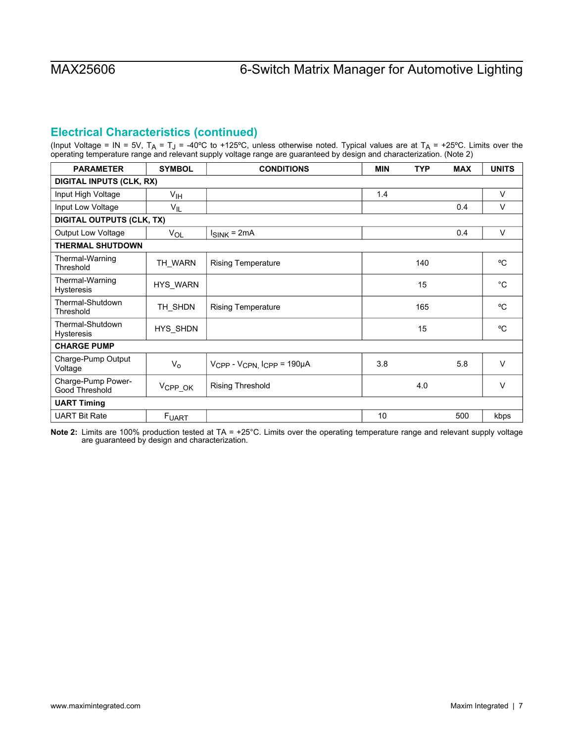# **Electrical Characteristics (continued)**

(Input Voltage = IN = 5V, T<sub>A</sub> = T<sub>J</sub> = -40°C to +125°C, unless otherwise noted. Typical values are at T<sub>A</sub> = +25°C. Limits over the operating temperature range and relevant supply voltage range are guaranteed by design and characterization. (Note 2)

| <b>PARAMETER</b>                      | <b>SYMBOL</b>       | <b>CONDITIONS</b>                                 | <b>MIN</b> | <b>TYP</b> | <b>MAX</b> | <b>UNITS</b> |
|---------------------------------------|---------------------|---------------------------------------------------|------------|------------|------------|--------------|
| <b>DIGITAL INPUTS (CLK, RX)</b>       |                     |                                                   |            |            |            |              |
| Input High Voltage                    | V <sub>IH</sub>     |                                                   | 1.4        |            |            | $\vee$       |
| Input Low Voltage                     | $V_{IL}$            |                                                   |            |            | 0.4        | V            |
| <b>DIGITAL OUTPUTS (CLK, TX)</b>      |                     |                                                   |            |            |            |              |
| <b>Output Low Voltage</b>             | VOL                 | $I_{SINK} = 2mA$                                  |            |            | 0.4        | $\vee$       |
| <b>THERMAL SHUTDOWN</b>               |                     |                                                   |            |            |            |              |
| Thermal-Warning<br>Threshold          | TH WARN             | <b>Rising Temperature</b>                         |            | 140        |            | °C           |
| Thermal-Warning<br><b>Hysteresis</b>  | HYS_WARN            |                                                   |            | 15         |            | $^{\circ}C$  |
| Thermal-Shutdown<br>Threshold         | TH_SHDN             | <b>Rising Temperature</b>                         |            | 165        |            | °C           |
| Thermal-Shutdown<br><b>Hysteresis</b> | HYS_SHDN            |                                                   |            | 15         |            | °C           |
| <b>CHARGE PUMP</b>                    |                     |                                                   |            |            |            |              |
| Charge-Pump Output<br>Voltage         | $V_{\rm o}$         | V <sub>CPP</sub> - V <sub>CPN, ICPP</sub> = 190µA | 3.8        |            | 5.8        | $\vee$       |
| Charge-Pump Power-<br>Good Threshold  | V <sub>CPP_OK</sub> | <b>Rising Threshold</b>                           |            | 4.0        |            | $\vee$       |
| <b>UART Timing</b>                    |                     |                                                   |            |            |            |              |
| <b>UART Bit Rate</b>                  | FUART               |                                                   | 10         |            | 500        | kbps         |

**Note 2:** Limits are 100% production tested at TA = +25°C. Limits over the operating temperature range and relevant supply voltage are guaranteed by design and characterization.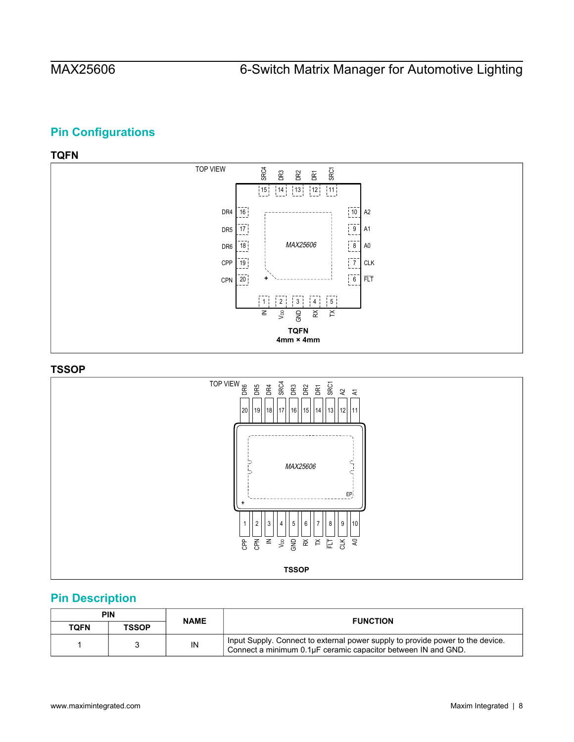# <span id="page-7-0"></span>**Pin Configurations**

# <span id="page-7-1"></span>**TQFN**



## <span id="page-7-2"></span>**TSSOP**



# <span id="page-7-3"></span>**Pin Description**

| PIN  |              | <b>NAME</b> | <b>FUNCTION</b>                                                                                                                                 |  |
|------|--------------|-------------|-------------------------------------------------------------------------------------------------------------------------------------------------|--|
| TOFN | <b>TSSOP</b> |             |                                                                                                                                                 |  |
|      |              | IN          | Input Supply. Connect to external power supply to provide power to the device.<br>Connect a minimum 0.1µF ceramic capacitor between IN and GND. |  |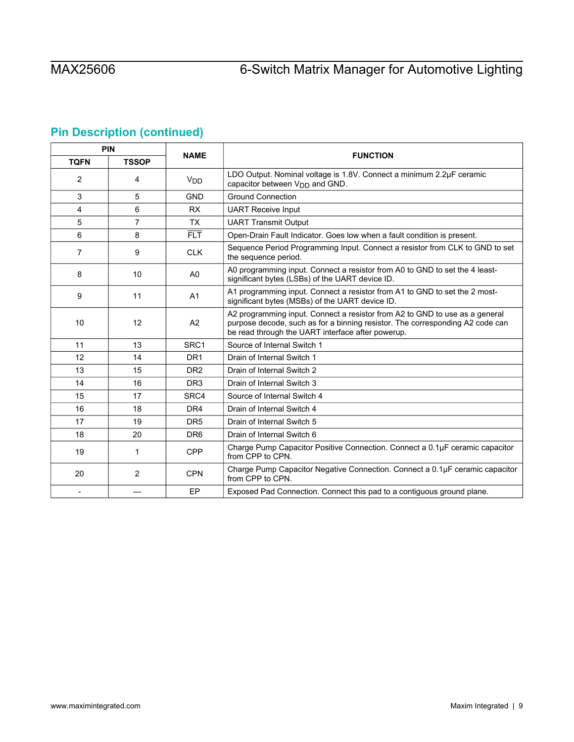# **Pin Description (continued)**

| PIN         |                |                  |                                                                                                                                                                                                                   |  |
|-------------|----------------|------------------|-------------------------------------------------------------------------------------------------------------------------------------------------------------------------------------------------------------------|--|
| <b>TQFN</b> | <b>TSSOP</b>   | <b>NAME</b>      | <b>FUNCTION</b>                                                                                                                                                                                                   |  |
| 2           | 4              | $V_{DD}$         | LDO Output. Nominal voltage is 1.8V. Connect a minimum 2.2µF ceramic<br>capacitor between $V_{DD}$ and GND.                                                                                                       |  |
| 3           | 5              | <b>GND</b>       | <b>Ground Connection</b>                                                                                                                                                                                          |  |
| 4           | 6              | <b>RX</b>        | <b>UART Receive Input</b>                                                                                                                                                                                         |  |
| 5           | $\overline{7}$ | <b>TX</b>        | <b>UART Transmit Output</b>                                                                                                                                                                                       |  |
| 6           | 8              | FLT.             | Open-Drain Fault Indicator. Goes low when a fault condition is present.                                                                                                                                           |  |
| 7           | 9              | <b>CLK</b>       | Sequence Period Programming Input. Connect a resistor from CLK to GND to set<br>the sequence period.                                                                                                              |  |
| 8           | 10             | A <sub>0</sub>   | A0 programming input. Connect a resistor from A0 to GND to set the 4 least-<br>significant bytes (LSBs) of the UART device ID.                                                                                    |  |
| 9           | 11             | A <sub>1</sub>   | A1 programming input. Connect a resistor from A1 to GND to set the 2 most-<br>significant bytes (MSBs) of the UART device ID.                                                                                     |  |
| 10          | 12             | A2               | A2 programming input. Connect a resistor from A2 to GND to use as a general<br>purpose decode, such as for a binning resistor. The corresponding A2 code can<br>be read through the UART interface after powerup. |  |
| 11          | 13             | SRC <sub>1</sub> | Source of Internal Switch 1                                                                                                                                                                                       |  |
| 12          | 14             | DR <sub>1</sub>  | Drain of Internal Switch 1                                                                                                                                                                                        |  |
| 13          | 15             | DR <sub>2</sub>  | Drain of Internal Switch 2                                                                                                                                                                                        |  |
| 14          | 16             | DR <sub>3</sub>  | Drain of Internal Switch 3                                                                                                                                                                                        |  |
| 15          | 17             | SRC4             | Source of Internal Switch 4                                                                                                                                                                                       |  |
| 16          | 18             | DR4              | Drain of Internal Switch 4                                                                                                                                                                                        |  |
| 17          | 19             | DR <sub>5</sub>  | Drain of Internal Switch 5                                                                                                                                                                                        |  |
| 18          | 20             | DR <sub>6</sub>  | Drain of Internal Switch 6                                                                                                                                                                                        |  |
| 19          | 1              | <b>CPP</b>       | Charge Pump Capacitor Positive Connection. Connect a 0.1µF ceramic capacitor<br>from CPP to CPN.                                                                                                                  |  |
| 20          | 2              | <b>CPN</b>       | Charge Pump Capacitor Negative Connection. Connect a 0.1µF ceramic capacitor<br>from CPP to CPN.                                                                                                                  |  |
| $\sim$      |                | EP               | Exposed Pad Connection. Connect this pad to a contiguous ground plane.                                                                                                                                            |  |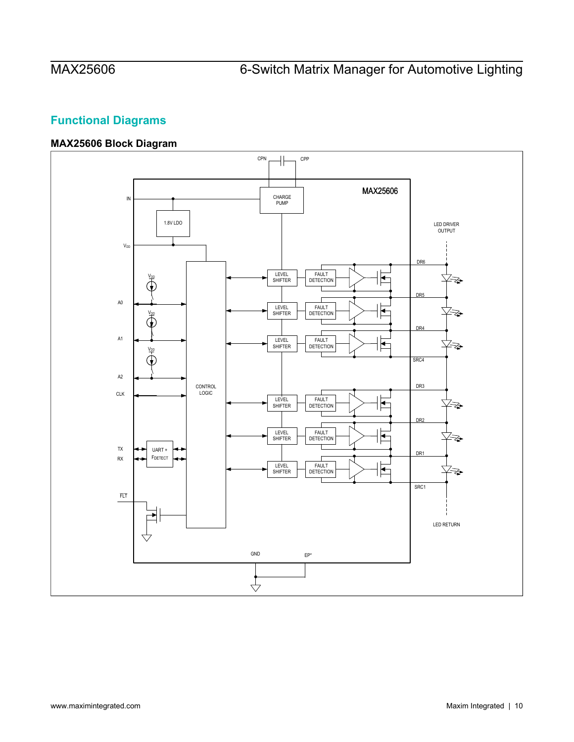# <span id="page-9-0"></span>**Functional Diagrams**

# <span id="page-9-1"></span>**MAX25606 Block Diagram**

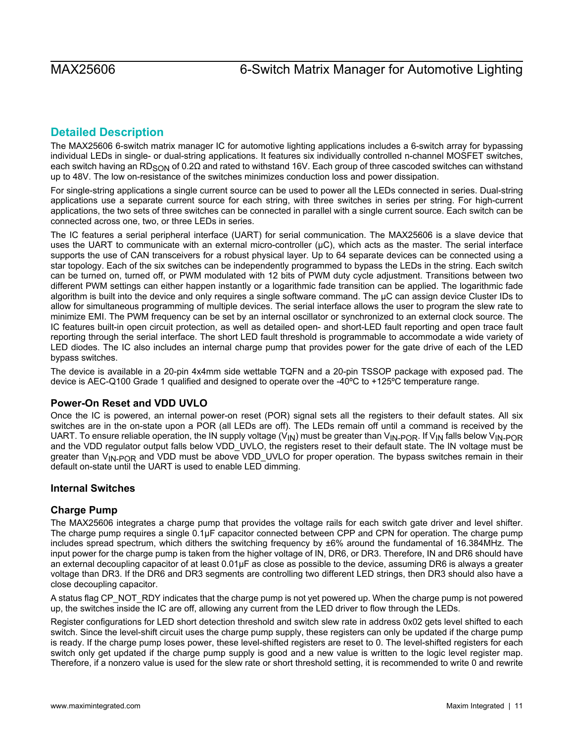# <span id="page-10-0"></span>**Detailed Description**

The MAX25606 6-switch matrix manager IC for automotive lighting applications includes a 6-switch array for bypassing individual LEDs in single- or dual-string applications. It features six individually controlled n-channel MOSFET switches, each switch having an RD<sub>SON</sub> of 0.2Ω and rated to withstand 16V. Each group of three cascoded switches can withstand up to 48V. The low on-resistance of the switches minimizes conduction loss and power dissipation.

For single-string applications a single current source can be used to power all the LEDs connected in series. Dual-string applications use a separate current source for each string, with three switches in series per string. For high-current applications, the two sets of three switches can be connected in parallel with a single current source. Each switch can be connected across one, two, or three LEDs in series.

The IC features a serial peripheral interface (UART) for serial communication. The MAX25606 is a slave device that uses the UART to communicate with an external micro-controller (μC), which acts as the master. The serial interface supports the use of CAN transceivers for a robust physical layer. Up to 64 separate devices can be connected using a star topology. Each of the six switches can be independently programmed to bypass the LEDs in the string. Each switch can be turned on, turned off, or PWM modulated with 12 bits of PWM duty cycle adjustment. Transitions between two different PWM settings can either happen instantly or a logarithmic fade transition can be applied. The logarithmic fade algorithm is built into the device and only requires a single software command. The μC can assign device Cluster IDs to allow for simultaneous programming of multiple devices. The serial interface allows the user to program the slew rate to minimize EMI. The PWM frequency can be set by an internal oscillator or synchronized to an external clock source. The IC features built-in open circuit protection, as well as detailed open- and short-LED fault reporting and open trace fault reporting through the serial interface. The short LED fault threshold is programmable to accommodate a wide variety of LED diodes. The IC also includes an internal charge pump that provides power for the gate drive of each of the LED bypass switches.

The device is available in a 20-pin 4x4mm side wettable TQFN and a 20-pin TSSOP package with exposed pad. The device is AEC-Q100 Grade 1 qualified and designed to operate over the -40ºC to +125ºC temperature range.

# <span id="page-10-1"></span>**Power-On Reset and VDD UVLO**

Once the IC is powered, an internal power-on reset (POR) signal sets all the registers to their default states. All six switches are in the on-state upon a POR (all LEDs are off). The LEDs remain off until a command is received by the UART. To ensure reliable operation, the IN supply voltage  $(V_{N})$  must be greater than  $V_{N-POR}$ . If  $V_{N}$  falls below  $V_{N-POR}$ and the VDD regulator output falls below VDD\_UVLO, the registers reset to their default state. The IN voltage must be greater than V<sub>IN-POR</sub> and VDD must be above VDD\_UVLO for proper operation. The bypass switches remain in their default on-state until the UART is used to enable LED dimming.

# <span id="page-10-2"></span>**Internal Switches**

# <span id="page-10-3"></span>**Charge Pump**

The MAX25606 integrates a charge pump that provides the voltage rails for each switch gate driver and level shifter. The charge pump requires a single 0.1µF capacitor connected between CPP and CPN for operation. The charge pump includes spread spectrum, which dithers the switching frequency by ±6% around the fundamental of 16.384MHz. The input power for the charge pump is taken from the higher voltage of IN, DR6, or DR3. Therefore, IN and DR6 should have an external decoupling capacitor of at least 0.01µF as close as possible to the device, assuming DR6 is always a greater voltage than DR3. If the DR6 and DR3 segments are controlling two different LED strings, then DR3 should also have a close decoupling capacitor.

A status flag CP\_NOT\_RDY indicates that the charge pump is not yet powered up. When the charge pump is not powered up, the switches inside the IC are off, allowing any current from the LED driver to flow through the LEDs.

Register configurations for LED short detection threshold and switch slew rate in address 0x02 gets level shifted to each switch. Since the level-shift circuit uses the charge pump supply, these registers can only be updated if the charge pump is ready. If the charge pump loses power, these level-shifted registers are reset to 0. The level-shifted registers for each switch only get updated if the charge pump supply is good and a new value is written to the logic level register map. Therefore, if a nonzero value is used for the slew rate or short threshold setting, it is recommended to write 0 and rewrite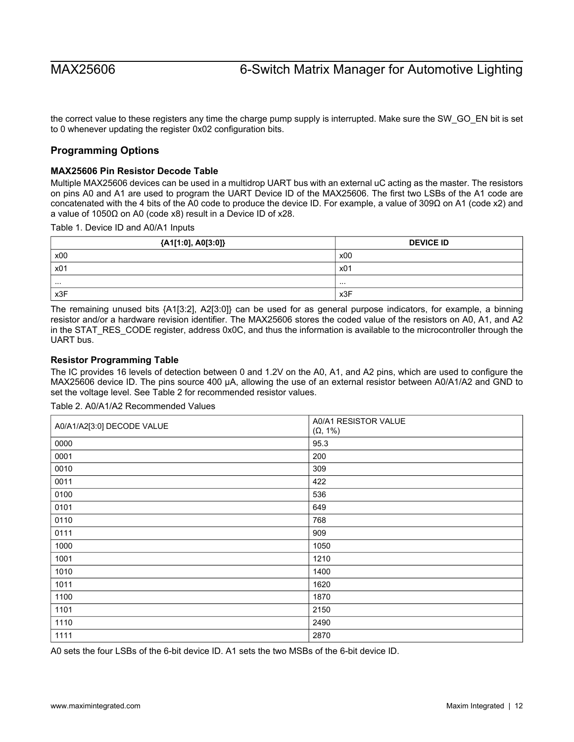the correct value to these registers any time the charge pump supply is interrupted. Make sure the SW\_GO\_EN bit is set to 0 whenever updating the register 0x02 configuration bits.

## <span id="page-11-0"></span>**Programming Options**

### <span id="page-11-1"></span>**MAX25606 Pin Resistor Decode Table**

Multiple MAX25606 devices can be used in a multidrop UART bus with an external uC acting as the master. The resistors on pins A0 and A1 are used to program the UART Device ID of the MAX25606. The first two LSBs of the A1 code are concatenated with the 4 bits of the A0 code to produce the device ID. For example, a value of 309Ω on A1 (code x2) and a value of 1050Ω on A0 (code x8) result in a Device ID of x28.

Table 1. Device ID and A0/A1 Inputs

| {A1[1:0], A0[3:0]} | <b>DEVICE ID</b> |  |  |
|--------------------|------------------|--|--|
| x00                | x00              |  |  |
| x01                | x01              |  |  |
| .                  | .                |  |  |
| x3F                | x3F              |  |  |

The remaining unused bits {A1[3:2], A2[3:0]} can be used for as general purpose indicators, for example, a binning resistor and/or a hardware revision identifier. The MAX25606 stores the coded value of the resistors on A0, A1, and A2 in the STAT\_RES\_CODE register, address 0x0C, and thus the information is available to the microcontroller through the UART bus.

### <span id="page-11-2"></span>**Resistor Programming Table**

The IC provides 16 levels of detection between 0 and 1.2V on the A0, A1, and A2 pins, which are used to configure the MAX25606 device ID. The pins source 400 μA, allowing the use of an external resistor between A0/A1/A2 and GND to set the voltage level. See Table 2 for recommended resistor values.

| A0/A1/A2[3:0] DECODE VALUE | A0/A1 RESISTOR VALUE<br>$(\Omega, 1\%)$ |
|----------------------------|-----------------------------------------|
| 0000                       | 95.3                                    |
| 0001                       | 200                                     |
| 0010                       | 309                                     |
| 0011                       | 422                                     |
| 0100                       | 536                                     |
| 0101                       | 649                                     |
| 0110                       | 768                                     |
| 0111                       | 909                                     |
| 1000                       | 1050                                    |
| 1001                       | 1210                                    |
| 1010                       | 1400                                    |
| 1011                       | 1620                                    |
| 1100                       | 1870                                    |
| 1101                       | 2150                                    |
| 1110                       | 2490                                    |
| 1111                       | 2870                                    |

Table 2. A0/A1/A2 Recommended Values

A0 sets the four LSBs of the 6-bit device ID. A1 sets the two MSBs of the 6-bit device ID.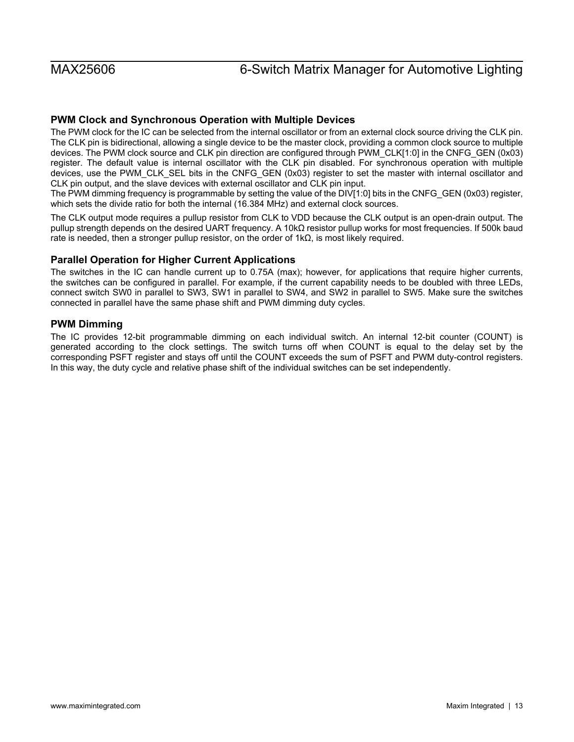# <span id="page-12-0"></span>**PWM Clock and Synchronous Operation with Multiple Devices**

The PWM clock for the IC can be selected from the internal oscillator or from an external clock source driving the CLK pin. The CLK pin is bidirectional, allowing a single device to be the master clock, providing a common clock source to multiple devices. The PWM clock source and CLK pin direction are configured through PWM\_CLK[1:0] in the CNFG\_GEN (0x03) register. The default value is internal oscillator with the CLK pin disabled. For synchronous operation with multiple devices, use the PWM\_CLK\_SEL bits in the CNFG\_GEN (0x03) register to set the master with internal oscillator and CLK pin output, and the slave devices with external oscillator and CLK pin input.

The PWM dimming frequency is programmable by setting the value of the DIV[1:0] bits in the CNFG\_GEN (0x03) register, which sets the divide ratio for both the internal (16.384 MHz) and external clock sources.

The CLK output mode requires a pullup resistor from CLK to VDD because the CLK output is an open-drain output. The pullup strength depends on the desired UART frequency. A 10kΩ resistor pullup works for most frequencies. If 500k baud rate is needed, then a stronger pullup resistor, on the order of  $1kΩ$ , is most likely required.

## <span id="page-12-1"></span>**Parallel Operation for Higher Current Applications**

The switches in the IC can handle current up to 0.75A (max); however, for applications that require higher currents, the switches can be configured in parallel. For example, if the current capability needs to be doubled with three LEDs, connect switch SW0 in parallel to SW3, SW1 in parallel to SW4, and SW2 in parallel to SW5. Make sure the switches connected in parallel have the same phase shift and PWM dimming duty cycles.

# <span id="page-12-2"></span>**PWM Dimming**

The IC provides 12-bit programmable dimming on each individual switch. An internal 12-bit counter (COUNT) is generated according to the clock settings. The switch turns off when COUNT is equal to the delay set by the corresponding PSFT register and stays off until the COUNT exceeds the sum of PSFT and PWM duty-control registers. In this way, the duty cycle and relative phase shift of the individual switches can be set independently.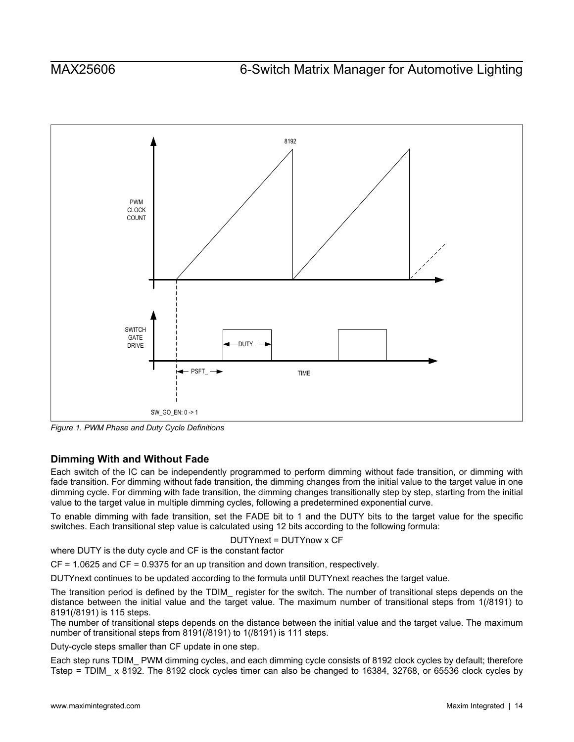<span id="page-13-1"></span>

*Figure 1. PWM Phase and Duty Cycle Definitions* 

# <span id="page-13-0"></span>**Dimming With and Without Fade**

Each switch of the IC can be independently programmed to perform dimming without fade transition, or dimming with fade transition. For dimming without fade transition, the dimming changes from the initial value to the target value in one dimming cycle. For dimming with fade transition, the dimming changes transitionally step by step, starting from the initial value to the target value in multiple dimming cycles, following a predetermined exponential curve.

To enable dimming with fade transition, set the FADE bit to 1 and the DUTY bits to the target value for the specific switches. Each transitional step value is calculated using 12 bits according to the following formula:

DUTYnext = DUTYnow x CF

where DUTY is the duty cycle and CF is the constant factor

CF = 1.0625 and CF = 0.9375 for an up transition and down transition, respectively.

DUTYnext continues to be updated according to the formula until DUTYnext reaches the target value.

The transition period is defined by the TDIM\_ register for the switch. The number of transitional steps depends on the distance between the initial value and the target value. The maximum number of transitional steps from 1(/8191) to 8191(/8191) is 115 steps.

The number of transitional steps depends on the distance between the initial value and the target value. The maximum number of transitional steps from 8191(/8191) to 1(/8191) is 111 steps.

Duty-cycle steps smaller than CF update in one step.

Each step runs TDIM\_ PWM dimming cycles, and each dimming cycle consists of 8192 clock cycles by default; therefore Tstep = TDIM\_ x 8192. The 8192 clock cycles timer can also be changed to 16384, 32768, or 65536 clock cycles by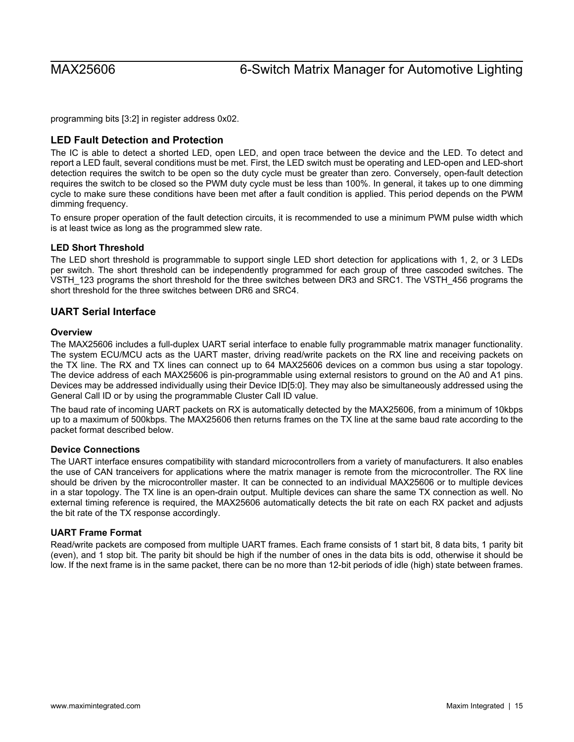programming bits [3:2] in register address 0x02.

## <span id="page-14-0"></span>**LED Fault Detection and Protection**

The IC is able to detect a shorted LED, open LED, and open trace between the device and the LED. To detect and report a LED fault, several conditions must be met. First, the LED switch must be operating and LED-open and LED-short detection requires the switch to be open so the duty cycle must be greater than zero. Conversely, open-fault detection requires the switch to be closed so the PWM duty cycle must be less than 100%. In general, it takes up to one dimming cycle to make sure these conditions have been met after a fault condition is applied. This period depends on the PWM dimming frequency.

To ensure proper operation of the fault detection circuits, it is recommended to use a minimum PWM pulse width which is at least twice as long as the programmed slew rate.

### <span id="page-14-1"></span>**LED Short Threshold**

The LED short threshold is programmable to support single LED short detection for applications with 1, 2, or 3 LEDs per switch. The short threshold can be independently programmed for each group of three cascoded switches. The VSTH\_123 programs the short threshold for the three switches between DR3 and SRC1. The VSTH\_456 programs the short threshold for the three switches between DR6 and SRC4.

### <span id="page-14-2"></span>**UART Serial Interface**

### <span id="page-14-3"></span>**Overview**

The MAX25606 includes a full-duplex UART serial interface to enable fully programmable matrix manager functionality. The system ECU/MCU acts as the UART master, driving read/write packets on the RX line and receiving packets on the TX line. The RX and TX lines can connect up to 64 MAX25606 devices on a common bus using a star topology. The device address of each MAX25606 is pin-programmable using external resistors to ground on the A0 and A1 pins. Devices may be addressed individually using their Device ID[5:0]. They may also be simultaneously addressed using the General Call ID or by using the programmable Cluster Call ID value.

The baud rate of incoming UART packets on RX is automatically detected by the MAX25606, from a minimum of 10kbps up to a maximum of 500kbps. The MAX25606 then returns frames on the TX line at the same baud rate according to the packet format described below.

### <span id="page-14-4"></span>**Device Connections**

The UART interface ensures compatibility with standard microcontrollers from a variety of manufacturers. It also enables the use of CAN tranceivers for applications where the matrix manager is remote from the microcontroller. The RX line should be driven by the microcontroller master. It can be connected to an individual MAX25606 or to multiple devices in a star topology. The TX line is an open-drain output. Multiple devices can share the same TX connection as well. No external timing reference is required, the MAX25606 automatically detects the bit rate on each RX packet and adjusts the bit rate of the TX response accordingly.

### <span id="page-14-5"></span>**UART Frame Format**

Read/write packets are composed from multiple UART frames. Each frame consists of 1 start bit, 8 data bits, 1 parity bit (even), and 1 stop bit. The parity bit should be high if the number of ones in the data bits is odd, otherwise it should be low. If the next frame is in the same packet, there can be no more than 12-bit periods of idle (high) state between frames.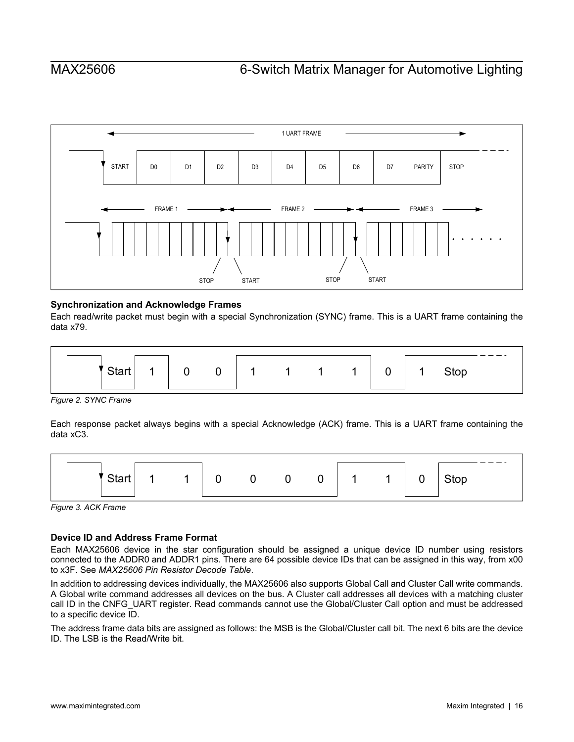

## <span id="page-15-0"></span>**Synchronization and Acknowledge Frames**

Each read/write packet must begin with a special Synchronization (SYNC) frame. This is a UART frame containing the data x79.

<span id="page-15-2"></span>

*Figure 2. SYNC Frame* 

Each response packet always begins with a special Acknowledge (ACK) frame. This is a UART frame containing the data xC3.

<span id="page-15-3"></span>

*Figure 3. ACK Frame* 

# <span id="page-15-1"></span>**Device ID and Address Frame Format**

Each MAX25606 device in the star configuration should be assigned a unique device ID number using resistors connected to the ADDR0 and ADDR1 pins. There are 64 possible device IDs that can be assigned in this way, from x00 to x3F. See *MAX25606 Pin Resistor Decode Table*.

In addition to addressing devices individually, the MAX25606 also supports Global Call and Cluster Call write commands. A Global write command addresses all devices on the bus. A Cluster call addresses all devices with a matching cluster call ID in the CNFG\_UART register. Read commands cannot use the Global/Cluster Call option and must be addressed to a specific device ID.

The address frame data bits are assigned as follows: the MSB is the Global/Cluster call bit. The next 6 bits are the device ID. The LSB is the Read/Write bit.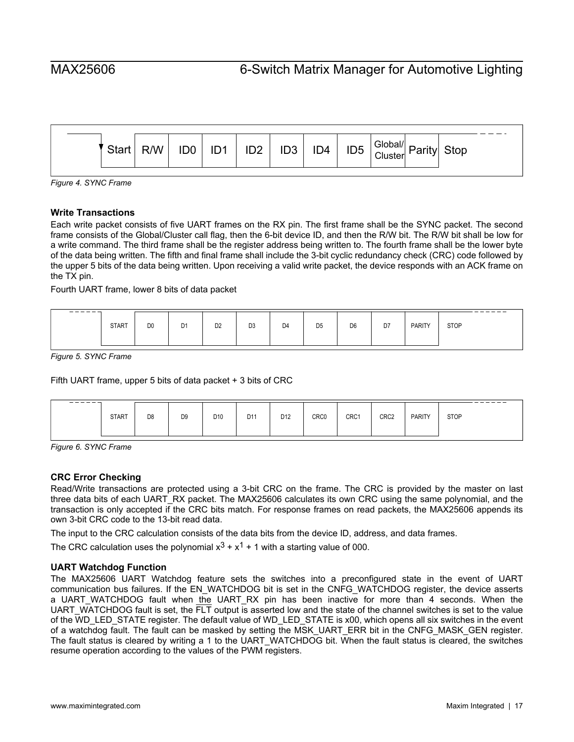<span id="page-16-3"></span>

*Figure 4. SYNC Frame* 

## <span id="page-16-0"></span>**Write Transactions**

Each write packet consists of five UART frames on the RX pin. The first frame shall be the SYNC packet. The second frame consists of the Global/Cluster call flag, then the 6-bit device ID, and then the R/W bit. The R/W bit shall be low for a write command. The third frame shall be the register address being written to. The fourth frame shall be the lower byte of the data being written. The fifth and final frame shall include the 3-bit cyclic redundancy check (CRC) code followed by the upper 5 bits of the data being written. Upon receiving a valid write packet, the device responds with an ACK frame on the TX pin.

Fourth UART frame, lower 8 bits of data packet

<span id="page-16-4"></span>

| ------- | <b>START</b> | D <sub>0</sub> | D <sub>1</sub> | D <sub>2</sub> | D <sub>3</sub> | D <sub>4</sub> | D <sub>5</sub> | D <sub>6</sub> | D7 | <b>PARITY</b> | __<br><b>STOP</b> |
|---------|--------------|----------------|----------------|----------------|----------------|----------------|----------------|----------------|----|---------------|-------------------|
|         |              |                |                |                |                |                |                |                |    |               |                   |

*Figure 5. SYNC Frame* 

Fifth UART frame, upper 5 bits of data packet + 3 bits of CRC

<span id="page-16-5"></span>

| ------- | <b>START</b> | D <sub>8</sub> | D <sub>9</sub> | D <sub>10</sub> | D <sub>11</sub> | D <sub>12</sub> | CRC0 | CRC1 | CRC <sub>2</sub> | <b>PARITY</b> | __<br>$ -$<br><b>STOP</b> |
|---------|--------------|----------------|----------------|-----------------|-----------------|-----------------|------|------|------------------|---------------|---------------------------|
|         |              |                |                |                 |                 |                 |      |      |                  |               |                           |

*Figure 6. SYNC Frame* 

### <span id="page-16-1"></span>**CRC Error Checking**

Read/Write transactions are protected using a 3-bit CRC on the frame. The CRC is provided by the master on last three data bits of each UART\_RX packet. The MAX25606 calculates its own CRC using the same polynomial, and the transaction is only accepted if the CRC bits match. For response frames on read packets, the MAX25606 appends its own 3-bit CRC code to the 13-bit read data.

The input to the CRC calculation consists of the data bits from the device ID, address, and data frames.

The CRC calculation uses the polynomial  $x^3 + x^1 + 1$  with a starting value of 000.

### <span id="page-16-2"></span>**UART Watchdog Function**

The MAX25606 UART Watchdog feature sets the switches into a preconfigured state in the event of UART communication bus failures. If the EN\_WATCHDOG bit is set in the CNFG\_WATCHDOG register, the device asserts a UART\_WATCHDOG fault when the UART\_RX pin has been inactive for more than 4 seconds. When the UART\_WATCHDOG fault is set, the  $\overline{FLT}$  output is asserted low and the state of the channel switches is set to the value of the WD\_LED\_STATE register. The default value of WD\_LED\_STATE is x00, which opens all six switches in the event of a watchdog fault. The fault can be masked by setting the MSK\_UART\_ERR bit in the CNFG\_MASK\_GEN register. The fault status is cleared by writing a 1 to the UART\_WATCHDOG bit. When the fault status is cleared, the switches resume operation according to the values of the PWM registers.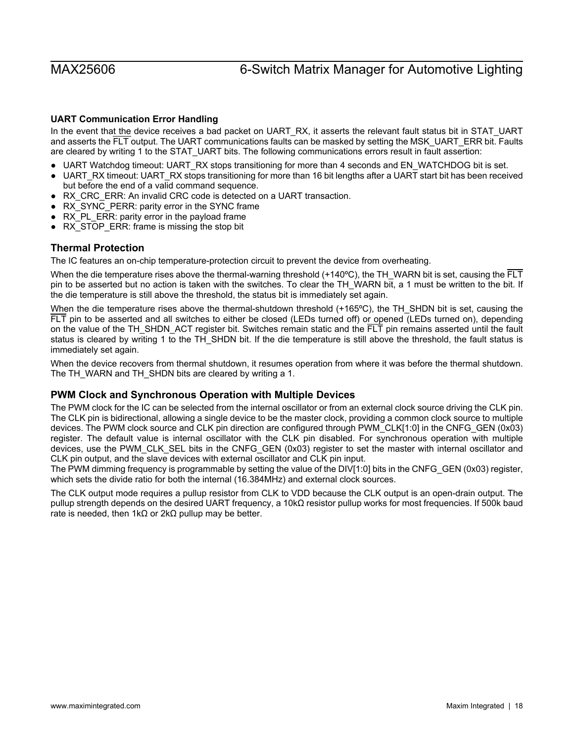# <span id="page-17-0"></span>**UART Communication Error Handling**

In the event that the device receives a bad packet on UART\_RX, it asserts the relevant fault status bit in STAT\_UART and asserts the FLT output. The UART communications faults can be masked by setting the MSK\_UART\_ERR bit. Faults are cleared by writing 1 to the STAT\_UART bits. The following communications errors result in fault assertion:

- UART Watchdog timeout: UART\_RX stops transitioning for more than 4 seconds and EN\_WATCHDOG bit is set.
- UART\_RX timeout: UART\_RX stops transitioning for more than 16 bit lengths after a UART start bit has been received but before the end of a valid command sequence.
- RX\_CRC\_ERR: An invalid CRC code is detected on a UART transaction.
- RX\_SYNC\_PERR: parity error in the SYNC frame
- RX\_PL\_ERR: parity error in the payload frame
- RX\_STOP\_ERR: frame is missing the stop bit

# <span id="page-17-1"></span>**Thermal Protection**

The IC features an on-chip temperature-protection circuit to prevent the device from overheating.

When the die temperature rises above the thermal-warning threshold  $(+140^{\circ}C)$ , the TH\_WARN bit is set, causing the FLT pin to be asserted but no action is taken with the switches. To clear the TH\_WARN bit, a 1 must be written to the bit. If the die temperature is still above the threshold, the status bit is immediately set again.

When the die temperature rises above the thermal-shutdown threshold (+165°C), the TH\_SHDN bit is set, causing the FLT pin to be asserted and all switches to either be closed (LEDs turned off) or opened (LEDs turned on), depending on the value of the TH\_SHDN\_ACT register bit. Switches remain static and the FLT pin remains asserted until the fault status is cleared by writing 1 to the TH\_SHDN bit. If the die temperature is still above the threshold, the fault status is immediately set again.

When the device recovers from thermal shutdown, it resumes operation from where it was before the thermal shutdown. The TH\_WARN and TH\_SHDN bits are cleared by writing a 1.

# <span id="page-17-2"></span>**PWM Clock and Synchronous Operation with Multiple Devices**

The PWM clock for the IC can be selected from the internal oscillator or from an external clock source driving the CLK pin. The CLK pin is bidirectional, allowing a single device to be the master clock, providing a common clock source to multiple devices. The PWM clock source and CLK pin direction are configured through PWM\_CLK[1:0] in the CNFG\_GEN (0x03) register. The default value is internal oscillator with the CLK pin disabled. For synchronous operation with multiple devices, use the PWM\_CLK\_SEL bits in the CNFG\_GEN (0x03) register to set the master with internal oscillator and CLK pin output, and the slave devices with external oscillator and CLK pin input.

The PWM dimming frequency is programmable by setting the value of the DIV[1:0] bits in the CNFG\_GEN (0x03) register, which sets the divide ratio for both the internal (16.384MHz) and external clock sources.

The CLK output mode requires a pullup resistor from CLK to VDD because the CLK output is an open-drain output. The pullup strength depends on the desired UART frequency, a 10kΩ resistor pullup works for most frequencies. If 500k baud rate is needed, then 1kΩ or 2kΩ pullup may be better.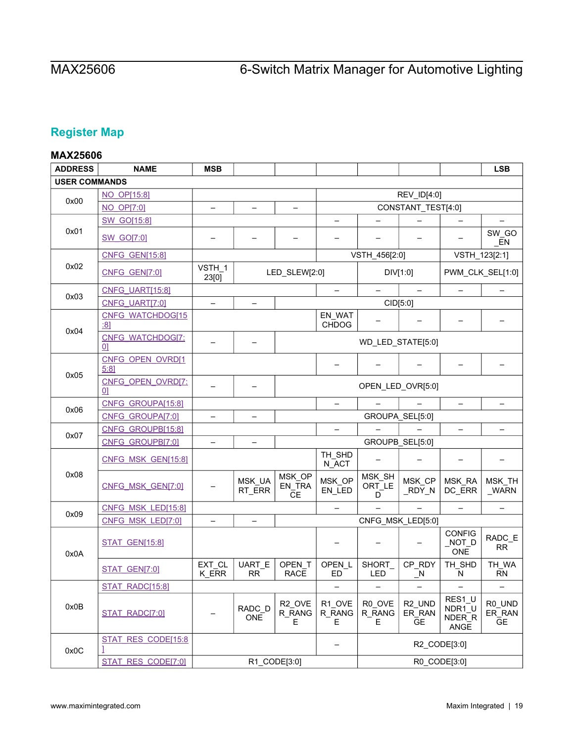# <span id="page-18-0"></span>**Register Map**

# <span id="page-18-1"></span>**MAX25606**

| <b>ADDRESS</b>       | <b>NAME</b>                         | <b>MSB</b>               |                          |                                   |                          |                       |                                           |                                    | <b>LSB</b>                    |
|----------------------|-------------------------------------|--------------------------|--------------------------|-----------------------------------|--------------------------|-----------------------|-------------------------------------------|------------------------------------|-------------------------------|
| <b>USER COMMANDS</b> |                                     |                          |                          |                                   |                          |                       |                                           |                                    |                               |
|                      | NO_OP[15:8]                         |                          |                          |                                   |                          |                       | REV_ID[4:0]                               |                                    |                               |
| 0x00                 | <b>NO OP[7:0]</b>                   | $\qquad \qquad -$        | $\overline{\phantom{0}}$ | $\qquad \qquad -$                 |                          |                       | CONSTANT_TEST[4:0]                        |                                    |                               |
|                      | <b>SW GO[15:8]</b>                  |                          |                          |                                   |                          |                       |                                           |                                    |                               |
| 0x01                 | <b>SW_GO[7:0]</b>                   |                          |                          |                                   |                          |                       |                                           |                                    | SW_GO<br>EN                   |
|                      | <b>CNFG_GEN[15:8]</b>               |                          |                          |                                   |                          | VSTH_456[2:0]         |                                           | VSTH_123[2:1]                      |                               |
| 0x02                 | CNFG GEN[7:0]                       | VSTH_1<br>23[0]          |                          | LED_SLEW[2:0]                     |                          | DIV[1:0]              |                                           | PWM CLK SEL[1:0]                   |                               |
| 0x03                 | <b>CNFG_UART[15:8]</b>              |                          |                          |                                   |                          |                       |                                           |                                    |                               |
|                      | CNFG UART[7:0]                      | $\qquad \qquad -$        | $\qquad \qquad$          |                                   |                          | CID[5:0]              |                                           |                                    |                               |
| 0x04                 | <b>CNFG WATCHDOG[15</b><br>:81      |                          |                          |                                   | EN_WAT<br><b>CHDOG</b>   |                       |                                           |                                    |                               |
|                      | CNFG_WATCHDOG[7:<br> 0              |                          |                          |                                   |                          | WD_LED_STATE[5:0]     |                                           |                                    |                               |
| 0x05                 | CNFG OPEN OVRD[1<br>5:81            |                          |                          |                                   |                          |                       |                                           |                                    |                               |
|                      | CNFG OPEN OVRD[7:<br>0 <sup>1</sup> | -                        |                          |                                   |                          |                       | OPEN_LED_OVR[5:0]                         |                                    |                               |
| 0x06                 | CNFG_GROUPA[15:8]                   |                          |                          |                                   | $\overline{\phantom{0}}$ |                       |                                           | $\overline{\phantom{0}}$           | Ξ.                            |
|                      | CNFG GROUPA[7:0]                    | $\overline{\phantom{0}}$ | $\overline{\phantom{0}}$ |                                   |                          |                       | GROUPA SEL[5:0]                           |                                    |                               |
| 0x07                 | CNFG_GROUPB[15:8]                   |                          |                          |                                   | $\equiv$                 |                       |                                           |                                    |                               |
|                      | CNFG GROUPB[7:0]                    |                          |                          |                                   |                          | GROUPB_SEL[5:0]       |                                           |                                    |                               |
|                      | CNFG_MSK_GEN[15:8]                  |                          |                          |                                   | TH_SHD<br>N_ACT          |                       |                                           |                                    |                               |
| 0x08                 | CNFG_MSK_GEN[7:0]                   |                          | MSK_UA<br>RT_ERR         | MSK_OP<br>EN_TRA<br><b>CE</b>     | MSK_OP<br>EN_LED         | MSK_SH<br>ORT_LE<br>D | MSK_CP<br>_RDY_N                          | MSK_RA<br>DC_ERR                   | MSK_TH<br>_WARN               |
| 0x09                 | CNFG_MSK_LED[15:8]                  |                          |                          |                                   | $\equiv$                 |                       |                                           |                                    |                               |
|                      | CNFG MSK LED[7:0]                   |                          |                          |                                   |                          |                       | CNFG_MSK_LED[5:0]                         |                                    |                               |
| 0x0A                 | <b>STAT_GEN[15:8]</b>               |                          |                          |                                   |                          |                       |                                           | <b>CONFIG</b><br>NOT<br><b>ONE</b> | RADC_E<br><b>RR</b>           |
|                      | STAT_GEN[7:0]                       | EXT_CL<br>K ERR          | UART_E<br><b>RR</b>      | OPEN_T<br><b>RACE</b>             | OPEN_L<br>ED             | SHORT<br><b>LED</b>   | CP_RDY<br>$\mathsf{N}$                    | TH_SHD<br>N                        | TH_WA<br><b>RN</b>            |
|                      | STAT_RADC[15:8]                     |                          |                          |                                   | $\qquad \qquad -$        |                       | $\overline{\phantom{0}}$                  | $\qquad \qquad -$                  | $\overline{\phantom{0}}$      |
| 0x0B                 | STAT_RADC[7:0]                      |                          | RADC_D<br><b>ONE</b>     | R <sub>2</sub> OVE<br>R RANG<br>Е | R1_OVE<br>R_RANG<br>Е    | R0_OVE<br>R_RANG<br>E | R <sub>2_UND</sub><br>ER_RAN<br><b>GE</b> | RES1_U<br>NDR1_U<br>NDER_R<br>ANGE | R0_UND<br>ER_RAN<br><b>GE</b> |
| 0x0C                 | STAT RES CODE[15:8                  |                          |                          |                                   |                          |                       |                                           | R2_CODE[3:0]                       |                               |
|                      | STAT RES CODE[7:0]                  |                          |                          | R1_CODE[3:0]                      |                          |                       |                                           | R0_CODE[3:0]                       |                               |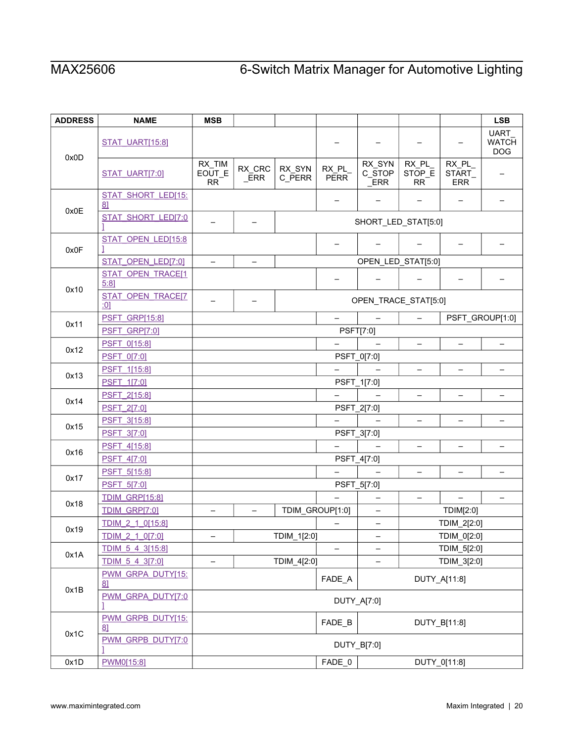| <b>ADDRESS</b> | <b>NAME</b>               | <b>MSB</b>                    |                          |                  |                                                      |                          |                              |                               | <b>LSB</b>                                |  |
|----------------|---------------------------|-------------------------------|--------------------------|------------------|------------------------------------------------------|--------------------------|------------------------------|-------------------------------|-------------------------------------------|--|
| 0x0D           | STAT UART[15:8]           |                               |                          |                  |                                                      |                          |                              |                               | <b>UART</b><br><b>WATCH</b><br><b>DOG</b> |  |
|                | STAT_UART[7:0]            | RX_TIM<br>EOUT_E<br><b>RR</b> | RX_CRC<br>ERR            | RX_SYN<br>C_PERR | RX_PL_<br><b>PERR</b>                                | RX_SYN<br>C STOP<br>ERR  | RX_PL<br>STOP E<br><b>RR</b> | RX_PL<br>START_<br><b>ERR</b> |                                           |  |
|                | STAT_SHORT_LED[15:<br>81  |                               |                          |                  | $\overline{\phantom{0}}$<br>$\overline{\phantom{0}}$ |                          |                              | $\overline{\phantom{0}}$      |                                           |  |
| 0x0E           | STAT_SHORT_LED[7:0        |                               |                          |                  |                                                      | SHORT_LED_STAT[5:0]      |                              |                               |                                           |  |
| 0x0F           | STAT OPEN LED[15:8        |                               |                          |                  |                                                      |                          |                              |                               |                                           |  |
|                | STAT_OPEN_LED[7:0]        | $\overline{\phantom{0}}$      | $\qquad \qquad -$        |                  |                                                      | OPEN_LED_STAT[5:0]       |                              |                               |                                           |  |
| 0x10           | STAT OPEN TRACE[1<br>5:81 |                               |                          |                  |                                                      |                          |                              |                               |                                           |  |
|                | STAT_OPEN_TRACE[7<br>:01  |                               |                          |                  |                                                      | OPEN_TRACE_STAT[5:0]     |                              |                               |                                           |  |
| 0x11           | <b>PSFT_GRP[15:8]</b>     |                               |                          |                  | $\overline{\phantom{0}}$                             |                          |                              |                               | PSFT_GROUP[1:0]                           |  |
|                | PSFT GRP[7:0]             |                               |                          |                  |                                                      | <b>PSFT[7:0]</b>         |                              |                               |                                           |  |
| 0x12           | PSFT 0[15:8]              |                               |                          |                  |                                                      |                          |                              |                               |                                           |  |
|                | <b>PSFT 0[7:0]</b>        |                               |                          |                  |                                                      | PSFT_0[7:0]              |                              |                               |                                           |  |
| 0x13           | PSFT 1[15:8]              |                               |                          |                  |                                                      |                          | $\rightarrow$                | $\overline{\phantom{0}}$      | $\equiv$                                  |  |
|                | PSFT_1[7:0]               | PSFT_1[7:0]                   |                          |                  |                                                      |                          |                              |                               |                                           |  |
| 0x14           | PSFT_2[15:8]              |                               | $\qquad \qquad -$        |                  |                                                      |                          | $\overline{\phantom{m}}$     | $\overline{\phantom{m}}$      | $\overline{\phantom{m}}$                  |  |
|                | PSFT 2[7:0]               |                               |                          |                  |                                                      | PSFT_2[7:0]              |                              |                               |                                           |  |
| 0x15           | PSFT_3[15:8]              |                               |                          |                  |                                                      |                          |                              |                               | $\qquad \qquad -$                         |  |
|                | PSFT 3[7:0]               |                               |                          |                  |                                                      | PSFT_3[7:0]              |                              |                               |                                           |  |
| 0x16           | PSFT 4[15:8]              |                               |                          |                  | -                                                    |                          | $\overline{\phantom{0}}$     |                               | $\qquad \qquad -$                         |  |
|                | <b>PSFT 4[7:0]</b>        |                               |                          |                  |                                                      | PSFT_4[7:0]              |                              |                               |                                           |  |
| 0x17           | PSFT_5[15:8]              |                               |                          |                  | $\overline{\phantom{0}}$                             |                          |                              |                               |                                           |  |
|                | PSFT_5[7:0]               |                               |                          |                  |                                                      | PSFT_5[7:0]              |                              |                               |                                           |  |
| 0x18           | <b>TDIM_GRP[15:8]</b>     |                               |                          |                  |                                                      | $\qquad \qquad$          | $\qquad \qquad -$            | $\qquad \qquad -$             | $\qquad \qquad -$                         |  |
|                | TDIM GRP[7:0]             |                               | $\overline{\phantom{0}}$ |                  | TDIM_GROUP[1:0]                                      | $\qquad \qquad -$        |                              | TDIM[2:0]                     |                                           |  |
| 0x19           | TDIM 2 1 0[15:8]          |                               |                          |                  |                                                      | $\overline{\phantom{0}}$ |                              | TDIM_2[2:0]                   |                                           |  |
|                | <u>TDIM 2 1 0[7:0]</u>    | $\overline{\phantom{m}}$      |                          | TDIM_1[2:0]      |                                                      | $\overline{\phantom{0}}$ |                              | TDIM_0[2:0]                   |                                           |  |
| 0x1A           | TDIM 5 4 3[15:8]          |                               |                          |                  | -                                                    |                          |                              | TDIM_5[2:0]                   |                                           |  |
|                | TDIM 5 4 3[7:0]           | TDIM_4[2:0]<br>TDIM_3[2:0]    |                          |                  |                                                      |                          |                              |                               |                                           |  |
| 0x1B           | PWM_GRPA_DUTY[15:<br>81   | FADE_A<br>DUTY_A[11:8]        |                          |                  |                                                      |                          |                              |                               |                                           |  |
|                | PWM GRPA DUTY[7:0         | DUTY_A[7:0]                   |                          |                  |                                                      |                          |                              |                               |                                           |  |
|                | PWM GRPB DUTY[15:<br>81   | FADE_B                        |                          | DUTY_B[11:8]     |                                                      |                          |                              |                               |                                           |  |
| 0x1C           | PWM GRPB DUTY[7:0         |                               |                          |                  | DUTY_B[7:0]                                          |                          |                              |                               |                                           |  |
| 0x1D           | PWM0[15:8]                |                               |                          |                  | FADE 0                                               |                          |                              | DUTY_0[11:8]                  |                                           |  |
|                |                           |                               |                          |                  |                                                      |                          |                              |                               |                                           |  |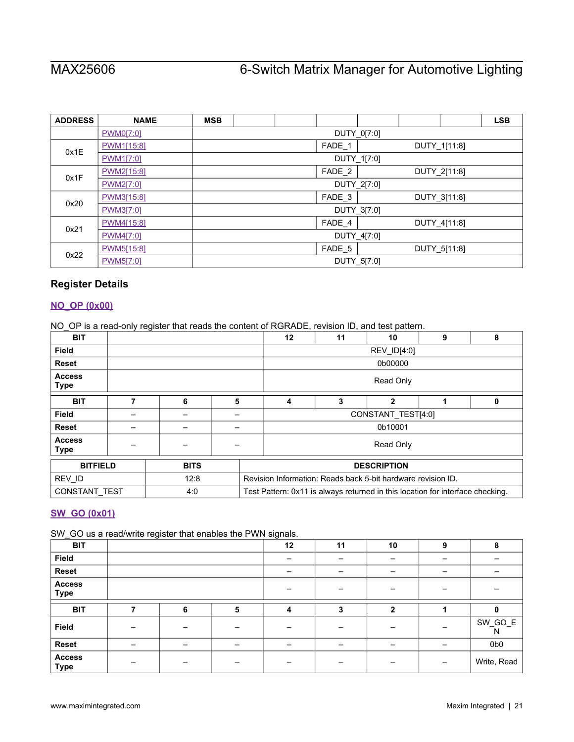| <b>ADDRESS</b> | <b>NAME</b> | <b>MSB</b> |                                   |  |             |             |  |              | <b>LSB</b> |  |  |
|----------------|-------------|------------|-----------------------------------|--|-------------|-------------|--|--------------|------------|--|--|
|                | PWM0[7:0]   |            | DUTY_0[7:0]                       |  |             |             |  |              |            |  |  |
| 0x1E           | PWM1[15:8]  |            |                                   |  | FADE_1      |             |  | DUTY_1[11:8] |            |  |  |
|                | PWM1[7:0]   |            |                                   |  | DUTY_1[7:0] |             |  |              |            |  |  |
| 0x1F           | PWM2[15:8]  |            | FADE_2<br>DUTY_2[11:8]            |  |             |             |  |              |            |  |  |
|                | PWM2[7:0]   |            | DUTY_2[7:0]                       |  |             |             |  |              |            |  |  |
| 0x20           | PWM3[15:8]  |            | FADE <sub>3</sub><br>DUTY_3[11:8] |  |             |             |  |              |            |  |  |
|                | PWM3[7:0]   |            | DUTY_3[7:0]                       |  |             |             |  |              |            |  |  |
| 0x21           | PWM4[15:8]  |            |                                   |  | FADE_4      |             |  | DUTY 4[11:8] |            |  |  |
|                | PWM4[7:0]   |            | DUTY_4[7:0]                       |  |             |             |  |              |            |  |  |
|                | PWM5[15:8]  |            |                                   |  | FADE_5      |             |  | DUTY 5[11:8] |            |  |  |
| 0x22           | PWM5[7:0]   |            |                                   |  |             | DUTY_5[7:0] |  |              |            |  |  |

# <span id="page-20-0"></span>**Register Details**

## <span id="page-20-1"></span>**[NO\\_OP \(0x00\)](#page-18-1)**

NO\_OP is a read-only register that reads the content of RGRADE, revision ID, and test pattern.

| <b>BIT</b>                   |             |   | 12<br>11<br>10<br>9<br>8                                     |  |                                                                                |  |  |  |  |
|------------------------------|-------------|---|--------------------------------------------------------------|--|--------------------------------------------------------------------------------|--|--|--|--|
| <b>Field</b>                 |             |   |                                                              |  | REV_ID[4:0]                                                                    |  |  |  |  |
| <b>Reset</b>                 |             |   |                                                              |  | 0b00000                                                                        |  |  |  |  |
| <b>Access</b><br><b>Type</b> |             |   | Read Only                                                    |  |                                                                                |  |  |  |  |
| <b>BIT</b>                   | 6           | 5 | 3<br>$\mathbf{2}$<br>4<br>0                                  |  |                                                                                |  |  |  |  |
| <b>Field</b>                 |             |   | CONSTANT TEST[4:0]                                           |  |                                                                                |  |  |  |  |
| <b>Reset</b>                 |             |   |                                                              |  | 0b10001                                                                        |  |  |  |  |
| <b>Access</b><br>Type        |             |   | Read Only                                                    |  |                                                                                |  |  |  |  |
| <b>BITFIELD</b>              | <b>BITS</b> |   | <b>DESCRIPTION</b>                                           |  |                                                                                |  |  |  |  |
| REV_ID                       | 12:8        |   | Revision Information: Reads back 5-bit hardware revision ID. |  |                                                                                |  |  |  |  |
| <b>CONSTANT TEST</b>         | 4:0         |   |                                                              |  | Test Pattern: 0x11 is always returned in this location for interface checking. |  |  |  |  |

# <span id="page-20-2"></span>**[SW\\_GO \(0x01\)](#page-18-1)**

SW GO us a read/write register that enables the PWN signals.

| <b>BIT</b>                   | $\tilde{\phantom{a}}$ |   |   | ້<br>12 | 11 | 10           | 9                        | 8               |
|------------------------------|-----------------------|---|---|---------|----|--------------|--------------------------|-----------------|
| Field                        |                       |   |   |         |    |              |                          |                 |
| Reset                        |                       |   |   |         |    |              | -                        |                 |
| <b>Access</b><br><b>Type</b> |                       |   |   |         |    |              |                          |                 |
| <b>BIT</b>                   | ⇁                     | 6 | 5 | 4       | 3  | $\mathbf{2}$ |                          |                 |
| Field                        |                       |   |   |         |    |              | -                        | SW_GO_E<br>N    |
| Reset                        | -                     |   | - |         |    |              |                          | 0 <sub>b0</sub> |
| <b>Access</b><br><b>Type</b> |                       |   |   |         |    |              | $\overline{\phantom{0}}$ | Write, Read     |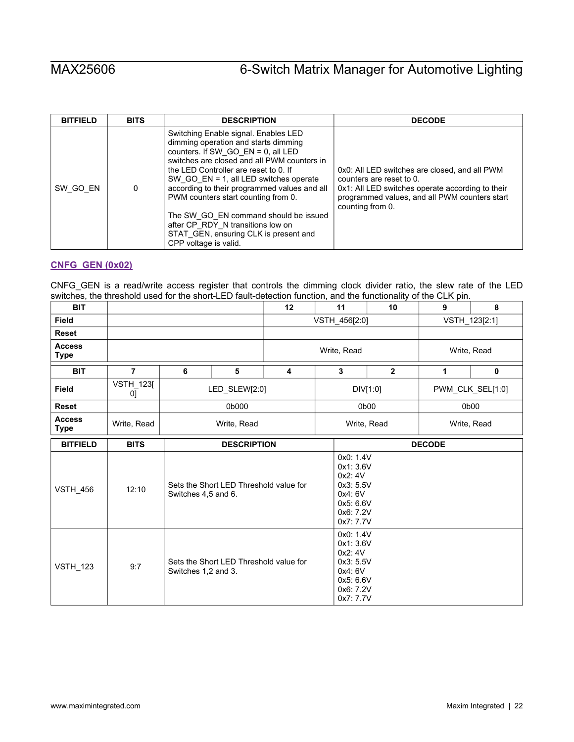| <b>BITFIELD</b> | <b>BITS</b> | <b>DESCRIPTION</b>                                                                                                                                                                                                                                                                                                                                                                                                                                                                                | <b>DECODE</b>                                                                                                                                                                                      |
|-----------------|-------------|---------------------------------------------------------------------------------------------------------------------------------------------------------------------------------------------------------------------------------------------------------------------------------------------------------------------------------------------------------------------------------------------------------------------------------------------------------------------------------------------------|----------------------------------------------------------------------------------------------------------------------------------------------------------------------------------------------------|
| SW GO EN        | 0           | Switching Enable signal. Enables LED<br>dimming operation and starts dimming<br>counters. If SW_GO_EN = $0$ , all LED<br>switches are closed and all PWM counters in<br>the LED Controller are reset to 0. If<br>SW GO $EN = 1$ , all LED switches operate<br>according to their programmed values and all<br>PWM counters start counting from 0.<br>The SW_GO_EN command should be issued<br>after CP_RDY_N transitions low on<br>STAT GEN, ensuring CLK is present and<br>CPP voltage is valid. | 0x0: All LED switches are closed, and all PWM<br>counters are reset to 0.<br>0x1: All LED switches operate according to their<br>programmed values, and all PWM counters start<br>counting from 0. |

# <span id="page-21-0"></span>**[CNFG\\_GEN \(0x02\)](#page-18-1)**

CNFG\_GEN is a read/write access register that controls the dimming clock divider ratio, the slew rate of the LED switches, the threshold used for the short-LED fault-detection function, and the functionality of the CLK pin.

| <b>BIT</b>                   |                        |                                                               |                                                               | 12                      | 11            | 9                                                                                                | 8              |   |                  |  |
|------------------------------|------------------------|---------------------------------------------------------------|---------------------------------------------------------------|-------------------------|---------------|--------------------------------------------------------------------------------------------------|----------------|---|------------------|--|
| <b>Field</b>                 |                        |                                                               |                                                               |                         | VSTH_456[2:0] |                                                                                                  | VSTH_123[2:1]  |   |                  |  |
| <b>Reset</b>                 |                        |                                                               |                                                               |                         |               |                                                                                                  |                |   |                  |  |
| <b>Access</b><br><b>Type</b> |                        |                                                               |                                                               |                         | Write, Read   | Write, Read                                                                                      |                |   |                  |  |
| <b>BIT</b>                   | $\overline{7}$         | 6                                                             | 5                                                             | $\overline{\mathbf{4}}$ |               | 3                                                                                                | $\overline{2}$ | 1 | $\mathbf 0$      |  |
| <b>Field</b>                 | <b>VSTH_123[</b><br>0] |                                                               | LED_SLEW[2:0]                                                 |                         |               |                                                                                                  | DIV[1:0]       |   | PWM_CLK_SEL[1:0] |  |
| <b>Reset</b>                 |                        | 0b000                                                         |                                                               |                         |               |                                                                                                  | 0b00           |   | 0b00             |  |
| <b>Access</b><br><b>Type</b> | Write, Read            | Write, Read                                                   |                                                               |                         |               | Write, Read<br>Write, Read                                                                       |                |   |                  |  |
| <b>BITFIELD</b>              | <b>BITS</b>            |                                                               | <b>DESCRIPTION</b>                                            | <b>DECODE</b>           |               |                                                                                                  |                |   |                  |  |
| <b>VSTH_456</b>              | 12:10                  |                                                               | Sets the Short LED Threshold value for<br>Switches 4,5 and 6. |                         |               | 0x0: 1.4V<br>0x1: 3.6V<br>0x2: 4V<br>0x3: 5.5V<br>0x4: 6V<br>0x5: 6.6V<br>0x6: 7.2V<br>0x7: 7.7V |                |   |                  |  |
| <b>VSTH_123</b>              | 9:7                    | Sets the Short LED Threshold value for<br>Switches 1,2 and 3. |                                                               |                         |               | 0x0: 1.4V<br>0x1: 3.6V<br>0x2: 4V<br>0x3: 5.5V<br>0x4: 6V<br>0x5: 6.6V<br>0x6: 7.2V<br>0x7: 7.7V |                |   |                  |  |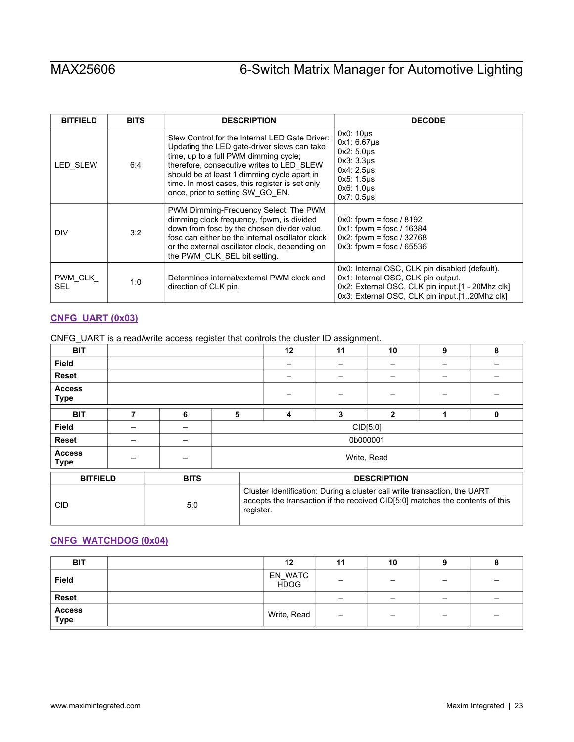| <b>BITFIELD</b>       | <b>BITS</b> | <b>DESCRIPTION</b>                                                                                                                                                                                                                                                                                                       | <b>DECODE</b>                                                                                                                                                                             |
|-----------------------|-------------|--------------------------------------------------------------------------------------------------------------------------------------------------------------------------------------------------------------------------------------------------------------------------------------------------------------------------|-------------------------------------------------------------------------------------------------------------------------------------------------------------------------------------------|
| <b>LED SLEW</b>       | 6:4         | Slew Control for the Internal LED Gate Driver:<br>Updating the LED gate-driver slews can take<br>time, up to a full PWM dimming cycle;<br>therefore, consecutive writes to LED SLEW<br>should be at least 1 dimming cycle apart in<br>time. In most cases, this register is set only<br>once, prior to setting SW GO EN. | $0x0:10\mu s$<br>$0x1:6.67\mu s$<br>$0x2:5.0\mu s$<br>$0x3:3.3\mu s$<br>0x4: 2.5us<br>0x5: 1.5us<br>0x6: 1.0us<br>$0x7:0.5\mu s$                                                          |
| <b>DIV</b>            | 3:2         | PWM Dimming-Frequency Select. The PWM<br>dimming clock frequency, fpwm, is divided<br>down from fosc by the chosen divider value.<br>fosc can either be the internal oscillator clock<br>or the external oscillator clock, depending on<br>the PWM CLK SEL bit setting.                                                  | $0x0$ : fpwm = fosc / 8192<br>$0x1$ : fpwm = fosc / 16384<br>$0x2$ : fpwm = fosc / 32768<br>$0x3$ : fpwm = fosc / 65536                                                                   |
| PWM CLK<br><b>SEL</b> | 1:0         | Determines internal/external PWM clock and<br>direction of CLK pin.                                                                                                                                                                                                                                                      | 0x0: Internal OSC, CLK pin disabled (default).<br>0x1: Internal OSC, CLK pin output.<br>0x2: External OSC, CLK pin input [1 - 20Mhz clk]<br>0x3: External OSC, CLK pin input.[120Mhz clk] |

# <span id="page-22-0"></span>**[CNFG\\_UART \(0x03\)](#page-18-1)**

|  | CNFG_UART is a read/write access register that controls the cluster ID assignment. |  |  |
|--|------------------------------------------------------------------------------------|--|--|
|  |                                                                                    |  |  |

| <b>BIT</b>                   |   |             |                                                                                                                                                                         |  | 12 | 11       | 10             | 9 | 8 |
|------------------------------|---|-------------|-------------------------------------------------------------------------------------------------------------------------------------------------------------------------|--|----|----------|----------------|---|---|
| <b>Field</b>                 |   |             |                                                                                                                                                                         |  |    |          |                |   |   |
| <b>Reset</b>                 |   |             |                                                                                                                                                                         |  |    |          |                |   |   |
| <b>Access</b><br><b>Type</b> |   |             |                                                                                                                                                                         |  |    |          |                |   |   |
| <b>BIT</b>                   | 7 | 6           | 5                                                                                                                                                                       |  | 4  | 3        | $\overline{2}$ |   | 0 |
| <b>Field</b>                 |   |             | CID[5:0]                                                                                                                                                                |  |    |          |                |   |   |
| <b>Reset</b>                 |   |             |                                                                                                                                                                         |  |    | 0b000001 |                |   |   |
| <b>Access</b><br><b>Type</b> |   |             |                                                                                                                                                                         |  |    |          | Write, Read    |   |   |
| <b>BITFIELD</b>              |   | <b>BITS</b> | <b>DESCRIPTION</b>                                                                                                                                                      |  |    |          |                |   |   |
| <b>CID</b>                   |   | 5:0         | Cluster Identification: During a cluster call write transaction, the UART<br>accepts the transaction if the received CID[5:0] matches the contents of this<br>register. |  |    |          |                |   |   |

## <span id="page-22-1"></span>**[CNFG\\_WATCHDOG \(0x04\)](#page-18-1)**

| <b>BIT</b>     | 12                     | 11                       | 10 |                          |  |
|----------------|------------------------|--------------------------|----|--------------------------|--|
| <b>Field</b>   | EN_WATC<br><b>HDOG</b> |                          | -  | -                        |  |
| <b>Reset</b>   |                        |                          | -  | $\overline{\phantom{0}}$ |  |
| Access<br>Type | Write, Read            | $\overline{\phantom{0}}$ | -  | $\overline{\phantom{0}}$ |  |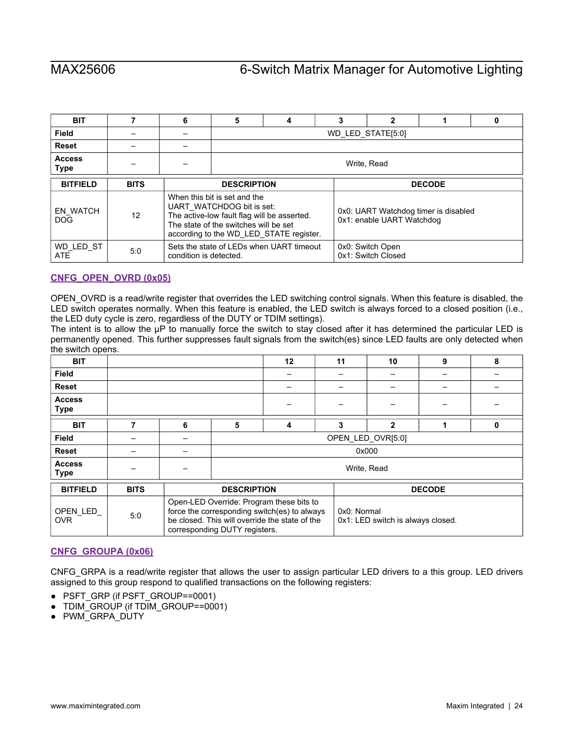| <b>BIT</b>                    |             | 6                      | 5                                                                                                                                                 | 4                                        | 3 | $\mathbf{2}$                                                      |  | 0 |  |  |
|-------------------------------|-------------|------------------------|---------------------------------------------------------------------------------------------------------------------------------------------------|------------------------------------------|---|-------------------------------------------------------------------|--|---|--|--|
| Field                         |             |                        | WD LED STATE[5:0]                                                                                                                                 |                                          |   |                                                                   |  |   |  |  |
| <b>Reset</b>                  |             |                        |                                                                                                                                                   |                                          |   |                                                                   |  |   |  |  |
| <b>Access</b><br>Type         |             |                        |                                                                                                                                                   | Write, Read                              |   |                                                                   |  |   |  |  |
| <b>BITFIELD</b>               | <b>BITS</b> |                        | <b>DECODE</b><br><b>DESCRIPTION</b>                                                                                                               |                                          |   |                                                                   |  |   |  |  |
| <b>EN WATCH</b><br><b>DOG</b> | 12          |                        | When this bit is set and the<br>UART WATCHDOG bit is set:<br>The active-low fault flag will be asserted.<br>The state of the switches will be set | according to the WD LED STATE register.  |   | 0x0: UART Watchdog timer is disabled<br>0x1: enable UART Watchdog |  |   |  |  |
| WD LED ST<br><b>ATE</b>       | 5:0         | condition is detected. |                                                                                                                                                   | Sets the state of LEDs when UART timeout |   | 0x0: Switch Open<br>0x1: Switch Closed                            |  |   |  |  |

# <span id="page-23-0"></span>**[CNFG\\_OPEN\\_OVRD \(0x05\)](#page-18-1)**

OPEN\_OVRD is a read/write register that overrides the LED switching control signals. When this feature is disabled, the LED switch operates normally. When this feature is enabled, the LED switch is always forced to a closed position (i.e., the LED duty cycle is zero, regardless of the DUTY or TDIM settings).

The intent is to allow the μP to manually force the switch to stay closed after it has determined the particular LED is permanently opened. This further suppresses fault signals from the switch(es) since LED faults are only detected when the switch opens.

| <b>BIT</b>                   |             |   |                               | 12                                                                                                                                         | 11          | 10                                | 9             | 8 |
|------------------------------|-------------|---|-------------------------------|--------------------------------------------------------------------------------------------------------------------------------------------|-------------|-----------------------------------|---------------|---|
| <b>Field</b>                 |             |   |                               |                                                                                                                                            |             |                                   |               |   |
| <b>Reset</b>                 |             |   |                               |                                                                                                                                            |             |                                   |               |   |
| <b>Access</b><br><b>Type</b> |             |   |                               |                                                                                                                                            |             |                                   |               |   |
| <b>BIT</b>                   | 7           | 6 | 5                             | 4                                                                                                                                          | 3           | 2                                 |               | 0 |
| Field                        |             |   |                               |                                                                                                                                            |             | OPEN LED OVR[5:0]                 |               |   |
| <b>Reset</b>                 |             |   |                               |                                                                                                                                            |             | 0x000                             |               |   |
| <b>Access</b><br><b>Type</b> |             |   |                               |                                                                                                                                            |             | Write, Read                       |               |   |
| <b>BITFIELD</b>              | <b>BITS</b> |   | <b>DESCRIPTION</b>            |                                                                                                                                            |             |                                   | <b>DECODE</b> |   |
| OPEN LED<br><b>OVR</b>       | 5:0         |   | corresponding DUTY registers. | Open-LED Override: Program these bits to<br>force the corresponding switch(es) to always<br>be closed. This will override the state of the | 0x0: Normal | 0x1: LED switch is always closed. |               |   |

### <span id="page-23-1"></span>**[CNFG\\_GROUPA \(0x06\)](#page-18-1)**

CNFG\_GRPA is a read/write register that allows the user to assign particular LED drivers to a this group. LED drivers assigned to this group respond to qualified transactions on the following registers:

- PSFT\_GRP (if PSFT\_GROUP==0001)
- TDIM\_GROUP (if TDIM\_GROUP==0001)
- PWM\_GRPA\_DUTY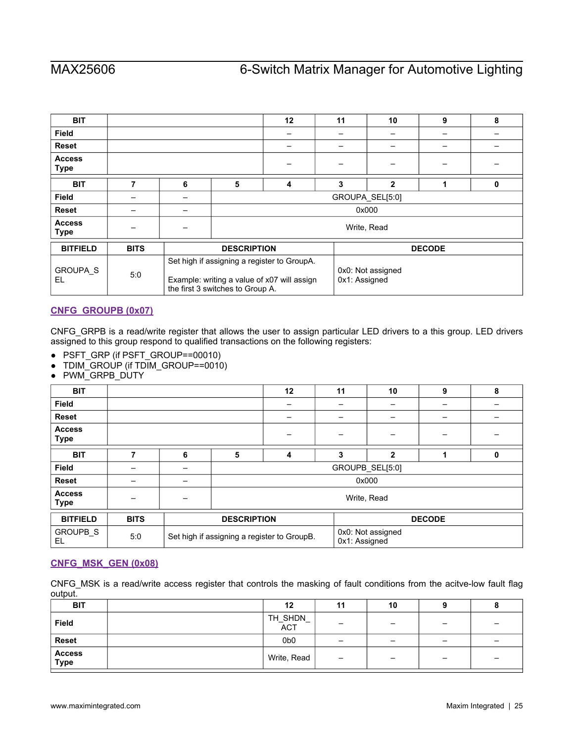| <b>BIT</b>                   |             |   |                                  | 12                                                                                         | 11            | 10                | 9             | 8 |
|------------------------------|-------------|---|----------------------------------|--------------------------------------------------------------------------------------------|---------------|-------------------|---------------|---|
| <b>Field</b>                 |             |   |                                  |                                                                                            |               |                   |               |   |
| <b>Reset</b>                 |             |   |                                  |                                                                                            |               |                   |               |   |
| <b>Access</b><br>Type        |             |   |                                  |                                                                                            |               |                   |               |   |
| <b>BIT</b>                   | 7           | 6 | 5                                | 4                                                                                          | 3             | $\overline{2}$    | 4             | 0 |
| <b>Field</b>                 |             |   | GROUPA_SEL[5:0]                  |                                                                                            |               |                   |               |   |
| <b>Reset</b>                 |             |   | 0x000                            |                                                                                            |               |                   |               |   |
| <b>Access</b><br><b>Type</b> |             |   |                                  | Write, Read                                                                                |               |                   |               |   |
| <b>BITFIELD</b>              | <b>BITS</b> |   | <b>DESCRIPTION</b>               |                                                                                            |               |                   | <b>DECODE</b> |   |
| <b>GROUPA S</b><br>EL        | 5:0         |   | the first 3 switches to Group A. | Set high if assigning a register to GroupA.<br>Example: writing a value of x07 will assign | 0x1: Assigned | 0x0: Not assigned |               |   |

# <span id="page-24-0"></span>**[CNFG\\_GROUPB \(0x07\)](#page-18-1)**

CNFG\_GRPB is a read/write register that allows the user to assign particular LED drivers to a this group. LED drivers assigned to this group respond to qualified transactions on the following registers:

- PSFT\_GRP (if PSFT\_GROUP==00010)
- TDIM\_GROUP (if TDIM\_GROUP==0010)
- PWM\_GRPB\_DUTY

| <b>BIT</b>                   |             |   |                                             | 12 | 11 | 10                                 | 9 | 8 |  |
|------------------------------|-------------|---|---------------------------------------------|----|----|------------------------------------|---|---|--|
| <b>Field</b>                 |             |   |                                             |    |    |                                    |   |   |  |
| <b>Reset</b>                 |             |   |                                             |    |    |                                    |   |   |  |
| <b>Access</b><br><b>Type</b> |             |   |                                             |    |    |                                    |   |   |  |
| <b>BIT</b>                   |             | 6 | 5                                           | 4  | 3  | $\overline{2}$                     |   | 0 |  |
| <b>Field</b>                 |             |   |                                             |    |    | GROUPB_SEL[5:0]                    |   |   |  |
| <b>Reset</b>                 |             |   |                                             |    |    | 0x000                              |   |   |  |
| <b>Access</b><br><b>Type</b> |             |   |                                             |    |    | Write, Read                        |   |   |  |
| <b>BITFIELD</b>              | <b>BITS</b> |   | <b>DESCRIPTION</b>                          |    |    | <b>DECODE</b>                      |   |   |  |
| GROUPB_S<br>EL               | 5:0         |   | Set high if assigning a register to GroupB. |    |    | 0x0: Not assigned<br>0x1: Assigned |   |   |  |

# <span id="page-24-1"></span>**[CNFG\\_MSK\\_GEN \(0x08\)](#page-18-1)**

CNFG\_MSK is a read/write access register that controls the masking of fault conditions from the acitve-low fault flag output.

| <b>BIT</b>                   | 12              | 11                       | 10 |                 |   |
|------------------------------|-----------------|--------------------------|----|-----------------|---|
| <b>Field</b>                 | TH_SHDN_<br>ACT | -                        | -  | -               |   |
| <b>Reset</b>                 | 0b <sub>0</sub> | $\overline{\phantom{0}}$ | -  | $\qquad \qquad$ | - |
| <b>Access</b><br><b>Type</b> | Write, Read     | $\qquad \qquad -$        | -  | $\qquad \qquad$ |   |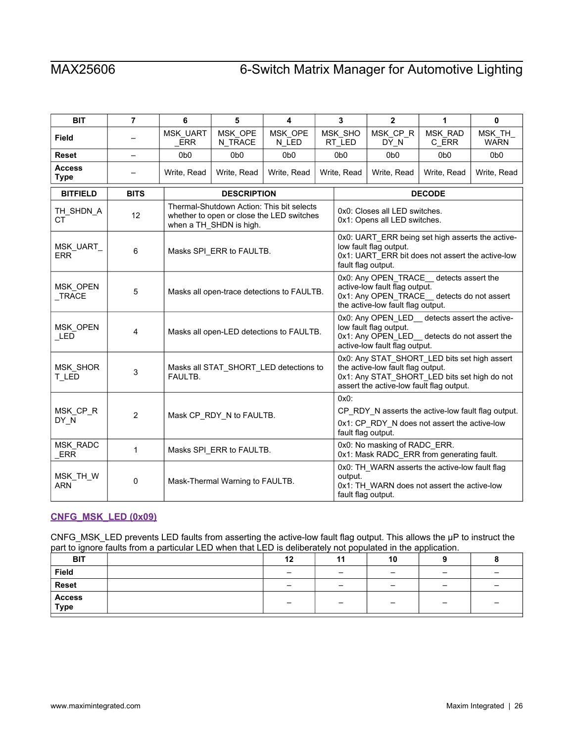| <b>BIT</b>                   | $\overline{7}$ | 6                      | 5                                          | 4                                                                                      |  | $\mathbf{3}$                                                                                                                                                                  | $\overline{2}$                                                                                                                                            | 1                | $\mathbf 0$            |
|------------------------------|----------------|------------------------|--------------------------------------------|----------------------------------------------------------------------------------------|--|-------------------------------------------------------------------------------------------------------------------------------------------------------------------------------|-----------------------------------------------------------------------------------------------------------------------------------------------------------|------------------|------------------------|
| <b>Field</b>                 |                | MSK_UART<br><b>ERR</b> | MSK_OPE<br>N_TRACE                         | MSK_OPE<br>N_LED                                                                       |  | MSK_SHO<br>RT_LED                                                                                                                                                             | MSK_CP_R<br>DY N                                                                                                                                          | MSK_RAD<br>C_ERR | MSK_TH_<br><b>WARN</b> |
| <b>Reset</b>                 | -              | 0 <sub>b</sub> o       | 0 <sub>b</sub> 0                           | 0b <sub>0</sub>                                                                        |  | 0b <sub>0</sub>                                                                                                                                                               | 0 <sub>b0</sub>                                                                                                                                           | 0b <sub>0</sub>  | 0 <sub>b</sub> o       |
| <b>Access</b><br><b>Type</b> |                | Write, Read            | Write, Read                                | Write, Read                                                                            |  | Write, Read                                                                                                                                                                   | Write, Read                                                                                                                                               | Write, Read      | Write, Read            |
| <b>BITFIELD</b>              | <b>BITS</b>    |                        | <b>DESCRIPTION</b>                         |                                                                                        |  | <b>DECODE</b>                                                                                                                                                                 |                                                                                                                                                           |                  |                        |
| TH_SHDN_A<br><b>CT</b>       | 12             |                        | when a TH_SHDN is high.                    | Thermal-Shutdown Action: This bit selects<br>whether to open or close the LED switches |  | 0x0: Closes all LED switches.<br>0x1: Opens all LED switches.                                                                                                                 |                                                                                                                                                           |                  |                        |
| MSK_UART<br><b>ERR</b>       | 6              |                        | Masks SPI_ERR to FAULTB.                   |                                                                                        |  |                                                                                                                                                                               | 0x0: UART_ERR being set high asserts the active-<br>low fault flag output.<br>0x1: UART_ERR bit does not assert the active-low<br>fault flag output.      |                  |                        |
| MSK OPEN<br>$_T$ RACE        | 5              |                        | Masks all open-trace detections to FAULTB. |                                                                                        |  |                                                                                                                                                                               | 0x0: Any OPEN_TRACE_detects assert the<br>active-low fault flag output.<br>0x1: Any OPEN_TRACE_detects do not assert<br>the active-low fault flag output. |                  |                        |
| MSK_OPEN<br>LED              | $\overline{4}$ |                        |                                            | Masks all open-LED detections to FAULTB.                                               |  |                                                                                                                                                                               | 0x0: Any OPEN_LED_ detects assert the active-<br>low fault flag output.<br>0x1: Any OPEN_LED_ detects do not assert the<br>active-low fault flag output.  |                  |                        |
| MSK_SHOR<br>T_LED            | 3              | FAULTB.                |                                            | Masks all STAT_SHORT_LED detections to                                                 |  | 0x0: Any STAT_SHORT_LED bits set high assert<br>the active-low fault flag output.<br>0x1: Any STAT_SHORT_LED bits set high do not<br>assert the active-low fault flag output. |                                                                                                                                                           |                  |                        |
| MSK CP R<br>DY N             | $\overline{2}$ |                        | Mask CP_RDY_N to FAULTB.                   |                                                                                        |  | $0x0$ :<br>fault flag output.                                                                                                                                                 | CP_RDY_N asserts the active-low fault flag output.<br>0x1: CP RDY N does not assert the active-low                                                        |                  |                        |
| MSK_RADC<br>ERR              | 1              |                        | Masks SPI_ERR to FAULTB.                   |                                                                                        |  |                                                                                                                                                                               | 0x0: No masking of RADC_ERR.<br>0x1: Mask RADC_ERR from generating fault.                                                                                 |                  |                        |
| MSK_TH_W<br><b>ARN</b>       | 0              |                        | Mask-Thermal Warning to FAULTB.            |                                                                                        |  | output.<br>fault flag output.                                                                                                                                                 | 0x0: TH_WARN asserts the active-low fault flag<br>0x1: TH_WARN does not assert the active-low                                                             |                  |                        |

# <span id="page-25-0"></span>**[CNFG\\_MSK\\_LED \(0x09\)](#page-18-1)**

CNFG\_MSK\_LED prevents LED faults from asserting the active-low fault flag output. This allows the μP to instruct the part to ignore faults from a particular LED when that LED is deliberately not populated in the application.

| .              |    |     |                          |                          |  |
|----------------|----|-----|--------------------------|--------------------------|--|
| <b>BIT</b>     | 12 | . . | 10                       |                          |  |
| Field          |    | -   | $\overline{\phantom{0}}$ | $\overline{\phantom{a}}$ |  |
| <b>Reset</b>   |    | -   | $\overline{\phantom{0}}$ | -                        |  |
| Access<br>Type |    | -   | -                        | $\overline{\phantom{0}}$ |  |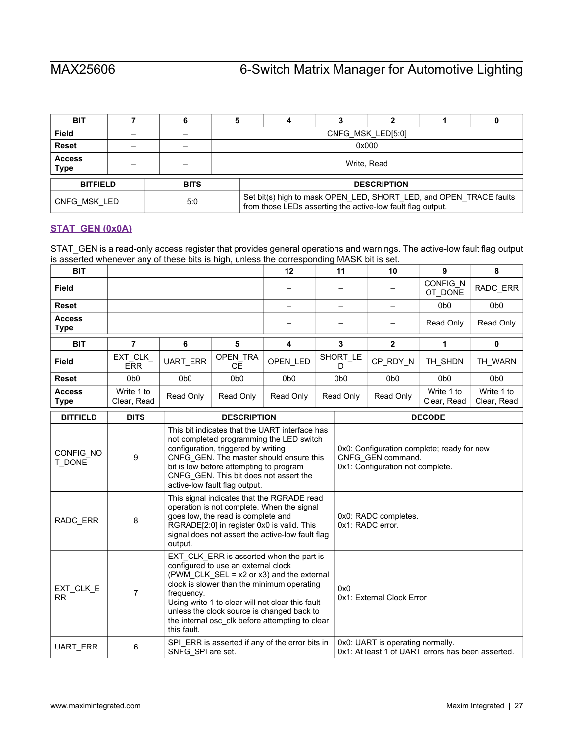| <b>BIT</b>                   |     |             |                                                                                                                                   | 4           |  | ◠ |  |  |
|------------------------------|-----|-------------|-----------------------------------------------------------------------------------------------------------------------------------|-------------|--|---|--|--|
| <b>Field</b>                 |     |             | CNFG MSK LED[5:0]                                                                                                                 |             |  |   |  |  |
| <b>Reset</b>                 |     |             | 0x000                                                                                                                             |             |  |   |  |  |
| <b>Access</b><br><b>Type</b> |     |             |                                                                                                                                   | Write, Read |  |   |  |  |
| <b>BITFIELD</b>              |     | <b>BITS</b> | <b>DESCRIPTION</b>                                                                                                                |             |  |   |  |  |
| CNFG MSK LED                 | 5.0 |             | Set bit(s) high to mask OPEN_LED, SHORT_LED, and OPEN_TRACE faults<br>from those LEDs asserting the active-low fault flag output. |             |  |   |  |  |

# <span id="page-26-0"></span>**[STAT\\_GEN \(0x0A\)](#page-18-1)**

STAT\_GEN is a read-only access register that provides general operations and warnings. The active-low fault flag output is asserted whenever any of these bits is high, unless the corresponding MASK bit is set.

| <b>BIT</b>                   |                       |                  |                  | 12               | 11             | 10               | 9                   | 8                |
|------------------------------|-----------------------|------------------|------------------|------------------|----------------|------------------|---------------------|------------------|
| <b>Field</b>                 |                       |                  |                  |                  |                |                  | CONFIG_N<br>OT DONE | RADC_ERR         |
| <b>Reset</b>                 |                       |                  |                  |                  |                |                  | 0 <sub>b</sub> 0    | 0 <sub>b</sub> 0 |
| <b>Access</b><br><b>Type</b> |                       |                  |                  |                  |                |                  | Read Only           | Read Only        |
| <b>BIT</b>                   |                       | 6                | 5                | 4                | 3              | $\mathbf{2}$     |                     | 0                |
|                              |                       |                  |                  |                  |                |                  |                     |                  |
| <b>Field</b>                 | EXT_CLK<br><b>ERR</b> | <b>UART ERR</b>  | OPEN TRA         | OPEN LED         | SHORT LE       | CP_RDY_N         | TH SHDN             | TH_WARN          |
|                              |                       |                  | CE.              |                  |                |                  |                     |                  |
| <b>Reset</b>                 | 0 <sub>b</sub> 0      | 0 <sub>b</sub> 0 | 0 <sub>b</sub> 0 | 0 <sub>b</sub> 0 | 0 <sub>b</sub> | 0 <sub>b</sub> 0 | 0 <sub>b</sub> 0    | 0 <sub>b</sub> 0 |

| <b>BITFIELD</b>        | <b>BITS</b> | <b>DESCRIPTION</b>                                                                                                                                                                                                                                                                                                                                                | <b>DECODE</b>                                                                                       |
|------------------------|-------------|-------------------------------------------------------------------------------------------------------------------------------------------------------------------------------------------------------------------------------------------------------------------------------------------------------------------------------------------------------------------|-----------------------------------------------------------------------------------------------------|
| CONFIG NO<br>T DONE    | 9           | This bit indicates that the UART interface has<br>not completed programming the LED switch<br>configuration, triggered by writing<br>CNFG_GEN. The master should ensure this<br>bit is low before attempting to program<br>CNFG GEN. This bit does not assert the<br>active-low fault flag output.                                                                | 0x0: Configuration complete; ready for new<br>CNFG GEN command.<br>0x1: Configuration not complete. |
| RADC_ERR               | 8           | This signal indicates that the RGRADE read<br>operation is not complete. When the signal<br>goes low, the read is complete and<br>RGRADE[2:0] in register 0x0 is valid. This<br>signal does not assert the active-low fault flag<br>output.                                                                                                                       | 0x0: RADC completes.<br>0x1: RADC error.                                                            |
| EXT_CLK_E<br><b>RR</b> | 7           | EXT CLK ERR is asserted when the part is<br>configured to use an external clock<br>(PWM CLK $SEL = x2$ or $x3$ ) and the external<br>clock is slower than the minimum operating<br>frequency.<br>Using write 1 to clear will not clear this fault<br>unless the clock source is changed back to<br>the internal osc clk before attempting to clear<br>this fault. | 0x0<br>0x1: External Clock Error                                                                    |
| UART_ERR               | 6           | SPI ERR is asserted if any of the error bits in<br>SNFG SPI are set.                                                                                                                                                                                                                                                                                              | 0x0: UART is operating normally.<br>0x1: At least 1 of UART errors has been asserted.               |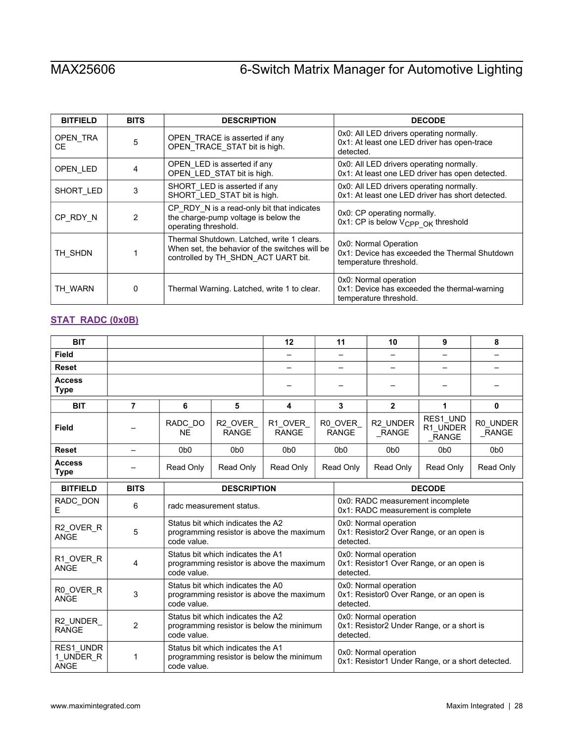| <b>BITFIELD</b> | <b>BITS</b> | <b>DESCRIPTION</b>                                                                                                                  | <b>DECODE</b>                                                                                        |
|-----------------|-------------|-------------------------------------------------------------------------------------------------------------------------------------|------------------------------------------------------------------------------------------------------|
| OPEN TRA<br>CE. | 5           | OPEN_TRACE is asserted if any<br>OPEN_TRACE_STAT bit is high.                                                                       | 0x0: All LED drivers operating normally.<br>0x1: At least one LED driver has open-trace<br>detected. |
| OPEN_LED        | 4           | OPEN_LED is asserted if any<br>OPEN_LED_STAT bit is high.                                                                           | 0x0: All LED drivers operating normally.<br>0x1: At least one LED driver has open detected.          |
| SHORT_LED       | 3           | SHORT LED is asserted if any<br>SHORT_LED_STAT bit is high.                                                                         | 0x0: All LED drivers operating normally.<br>0x1: At least one LED driver has short detected.         |
| CP RDY N        | 2           | CP_RDY_N is a read-only bit that indicates<br>the charge-pump voltage is below the<br>operating threshold.                          | 0x0: CP operating normally.<br>0x1: CP is below V <sub>CPP OK</sub> threshold                        |
| TH SHDN         |             | Thermal Shutdown. Latched, write 1 clears.<br>When set, the behavior of the switches will be<br>controlled by TH_SHDN_ACT UART bit. | 0x0: Normal Operation<br>0x1: Device has exceeded the Thermal Shutdown<br>temperature threshold.     |
| TH WARN         | 0           | Thermal Warning. Latched, write 1 to clear.                                                                                         | 0x0: Normal operation<br>0x1: Device has exceeded the thermal-warning<br>temperature threshold.      |

# <span id="page-27-0"></span>**[STAT\\_RADC \(0x0B\)](#page-18-1)**

| <b>BIT</b>                     |             |                      |                                                                                |                         |  | 11                                                                              | 10                                                                             | 9                              | 8                  |  |
|--------------------------------|-------------|----------------------|--------------------------------------------------------------------------------|-------------------------|--|---------------------------------------------------------------------------------|--------------------------------------------------------------------------------|--------------------------------|--------------------|--|
| <b>Field</b>                   |             |                      |                                                                                |                         |  |                                                                                 |                                                                                | —                              |                    |  |
| <b>Reset</b>                   |             |                      |                                                                                |                         |  |                                                                                 |                                                                                |                                |                    |  |
| <b>Access</b><br><b>Type</b>   |             |                      |                                                                                |                         |  |                                                                                 |                                                                                |                                |                    |  |
| <b>BIT</b>                     | 7           | 6                    | 5                                                                              | 4                       |  | 3                                                                               | $\mathbf{2}$                                                                   | 1                              | $\mathbf{0}$       |  |
| Field                          |             | RADC DO<br><b>NE</b> | R2 OVER<br><b>RANGE</b>                                                        | R1 OVER<br><b>RANGE</b> |  | R0 OVER<br><b>RANGE</b>                                                         | R2_UNDER<br>RANGE                                                              | RES1 UND<br>R1 UNDER<br>_RANGE | R0 UNDER<br>_RANGE |  |
| <b>Reset</b>                   | —           | 0 <sub>b0</sub>      | 0 <sub>b0</sub>                                                                | 0 <sub>b0</sub>         |  | 0 <sub>b0</sub>                                                                 | 0 <sub>b0</sub>                                                                | 0 <sub>b0</sub>                | 0 <sub>b0</sub>    |  |
| <b>Access</b><br><b>Type</b>   |             | Read Only            | Read Only<br>Read Only                                                         |                         |  | Read Only                                                                       | Read Only                                                                      | Read Only                      | Read Only          |  |
| <b>BITFIELD</b>                | <b>BITS</b> |                      | <b>DESCRIPTION</b>                                                             |                         |  |                                                                                 |                                                                                | <b>DECODE</b>                  |                    |  |
| RADC_DON<br>Е                  | 6           |                      | radc measurement status.                                                       |                         |  |                                                                                 | 0x0: RADC measurement incomplete<br>0x1: RADC measurement is complete          |                                |                    |  |
| R2_OVER_R<br><b>ANGE</b>       | 5           | code value.          | Status bit which indicates the A2<br>programming resistor is above the maximum |                         |  | 0x0: Normal operation<br>0x1: Resistor2 Over Range, or an open is<br>detected.  |                                                                                |                                |                    |  |
| R1 OVER R<br><b>ANGE</b>       | 4           | code value.          | Status bit which indicates the A1<br>programming resistor is above the maximum |                         |  |                                                                                 | 0x0: Normal operation<br>0x1: Resistor1 Over Range, or an open is<br>detected. |                                |                    |  |
| R0_OVER_R<br><b>ANGE</b>       | 3           | code value.          | Status bit which indicates the A0<br>programming resistor is above the maximum |                         |  |                                                                                 | 0x0: Normal operation<br>0x1: Resistor0 Over Range, or an open is<br>detected. |                                |                    |  |
| R2_UNDER_<br><b>RANGE</b>      | 2           | code value.          | Status bit which indicates the A2<br>programming resistor is below the minimum |                         |  | 0x0: Normal operation<br>0x1: Resistor2 Under Range, or a short is<br>detected. |                                                                                |                                |                    |  |
| RES1 UNDR<br>1_UNDER_R<br>ANGE | 1           | code value.          | Status bit which indicates the A1<br>programming resistor is below the minimum |                         |  | 0x0: Normal operation<br>0x1: Resistor1 Under Range, or a short detected.       |                                                                                |                                |                    |  |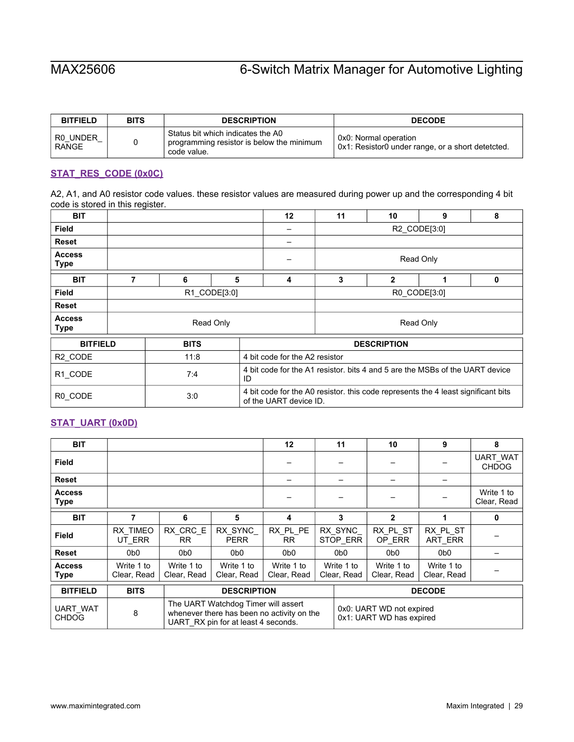| <b>BITFIELD</b>          | <b>BITS</b> | <b>DESCRIPTION</b>                                                                            | <b>DECODE</b>                                                              |
|--------------------------|-------------|-----------------------------------------------------------------------------------------------|----------------------------------------------------------------------------|
| R0 UNDER<br><b>RANGE</b> |             | Status bit which indicates the A0<br>programming resistor is below the minimum<br>code value. | 0x0: Normal operation<br>0x1: Resistor0 under range, or a short detetcted. |

### <span id="page-28-0"></span>**[STAT\\_RES\\_CODE \(0x0C\)](#page-18-1)**

A2, A1, and A0 resistor code values. these resistor values are measured during power up and the corresponding 4 bit code is stored in this register.

| <b>BIT</b>                   |   |             |                                                                                                             |                                                                                    | 12 | 11                             | 10           | 9            | 8 |  |
|------------------------------|---|-------------|-------------------------------------------------------------------------------------------------------------|------------------------------------------------------------------------------------|----|--------------------------------|--------------|--------------|---|--|
| Field                        |   |             |                                                                                                             |                                                                                    |    |                                |              | R2 CODE[3:0] |   |  |
| <b>Reset</b>                 |   |             |                                                                                                             |                                                                                    |    |                                |              |              |   |  |
| <b>Access</b><br><b>Type</b> |   |             |                                                                                                             |                                                                                    |    |                                |              | Read Only    |   |  |
| <b>BIT</b>                   | 7 | 6           | 5                                                                                                           |                                                                                    | 4  | 3                              | $\mathbf{2}$ | 1            | 0 |  |
| <b>Field</b>                 |   |             | R1 CODE[3:0]                                                                                                |                                                                                    |    | R0_CODE[3:0]                   |              |              |   |  |
| <b>Reset</b>                 |   |             |                                                                                                             |                                                                                    |    |                                |              |              |   |  |
| <b>Access</b><br><b>Type</b> |   |             | Read Only                                                                                                   |                                                                                    |    | Read Only                      |              |              |   |  |
| <b>BITFIELD</b>              |   | <b>BITS</b> |                                                                                                             |                                                                                    |    | <b>DESCRIPTION</b>             |              |              |   |  |
| R2_CODE                      |   | 11:8        |                                                                                                             |                                                                                    |    | 4 bit code for the A2 resistor |              |              |   |  |
| R1_CODE                      |   | 7:4         |                                                                                                             | 4 bit code for the A1 resistor, bits 4 and 5 are the MSBs of the UART device<br>ID |    |                                |              |              |   |  |
| R0_CODE                      |   | 3:0         | 4 bit code for the A0 resistor, this code represents the 4 least significant bits<br>of the UART device ID. |                                                                                    |    |                                |              |              |   |  |

# <span id="page-28-1"></span>**[STAT\\_UART \(0x0D\)](#page-18-1)**

| <b>BIT</b>                      |                           |                           |                                                                                                                                                                                                                                                                                                                                                                                                                                                                       | 12                        | 11                                                   | 10                        | 9                         | 8                         |
|---------------------------------|---------------------------|---------------------------|-----------------------------------------------------------------------------------------------------------------------------------------------------------------------------------------------------------------------------------------------------------------------------------------------------------------------------------------------------------------------------------------------------------------------------------------------------------------------|---------------------------|------------------------------------------------------|---------------------------|---------------------------|---------------------------|
| Field                           |                           |                           |                                                                                                                                                                                                                                                                                                                                                                                                                                                                       |                           |                                                      |                           |                           | UART_WAT<br><b>CHDOG</b>  |
| <b>Reset</b>                    |                           |                           |                                                                                                                                                                                                                                                                                                                                                                                                                                                                       |                           |                                                      |                           |                           |                           |
| <b>Access</b><br><b>Type</b>    |                           |                           |                                                                                                                                                                                                                                                                                                                                                                                                                                                                       |                           |                                                      |                           |                           | Write 1 to<br>Clear, Read |
| <b>BIT</b>                      | 7                         | 6                         | 5                                                                                                                                                                                                                                                                                                                                                                                                                                                                     | 4                         | 3                                                    | 2                         |                           | 0                         |
| Field                           | RX TIMEO<br>UT ERR        | RX CRC E<br>RR.           | RX SYNC<br><b>PERR</b>                                                                                                                                                                                                                                                                                                                                                                                                                                                | RX PL PE<br>RR.           | RX SYNC<br>STOP ERR                                  | RX PL ST<br>OP ERR        | RX PL ST<br>ART ERR       |                           |
| <b>Reset</b>                    | 0 <sub>b</sub> 0          | 0 <sub>b</sub>            | 0 <sub>b</sub> 0                                                                                                                                                                                                                                                                                                                                                                                                                                                      | 0 <sub>b</sub> 0          | 0 <sub>b</sub>                                       | 0 <sub>b</sub> 0          | 0 <sub>b</sub> 0          |                           |
| <b>Access</b><br><b>Type</b>    | Write 1 to<br>Clear, Read | Write 1 to<br>Clear, Read | Write 1 to<br>Clear, Read                                                                                                                                                                                                                                                                                                                                                                                                                                             | Write 1 to<br>Clear, Read | Write 1 to<br>Clear, Read                            | Write 1 to<br>Clear, Read | Write 1 to<br>Clear, Read |                           |
| <b>BITFIELD</b>                 | <b>BITS</b>               |                           | <b>DESCRIPTION</b>                                                                                                                                                                                                                                                                                                                                                                                                                                                    |                           | <b>DECODE</b>                                        |                           |                           |                           |
| <b>UART WAT</b><br><b>CHDOG</b> | 8                         |                           | The UART Watchdog Timer will assert<br>whenever there has been no activity on the<br>$118\overline{DT}$ $\overline{DY}$ $\overline{S}$ $\overline{S}$ $\overline{S}$ $\overline{S}$ $\overline{S}$ $\overline{S}$ $\overline{S}$ $\overline{S}$ $\overline{S}$ $\overline{S}$ $\overline{S}$ $\overline{S}$ $\overline{S}$ $\overline{S}$ $\overline{S}$ $\overline{S}$ $\overline{S}$ $\overline{S}$ $\overline{S}$ $\overline{S}$ $\overline{S}$ $\overline{S}$ $\$ |                           | 0x0: UART WD not expired<br>0x1: UART WD has expired |                           |                           |                           |

UART\_RX pin for at least 4 seconds.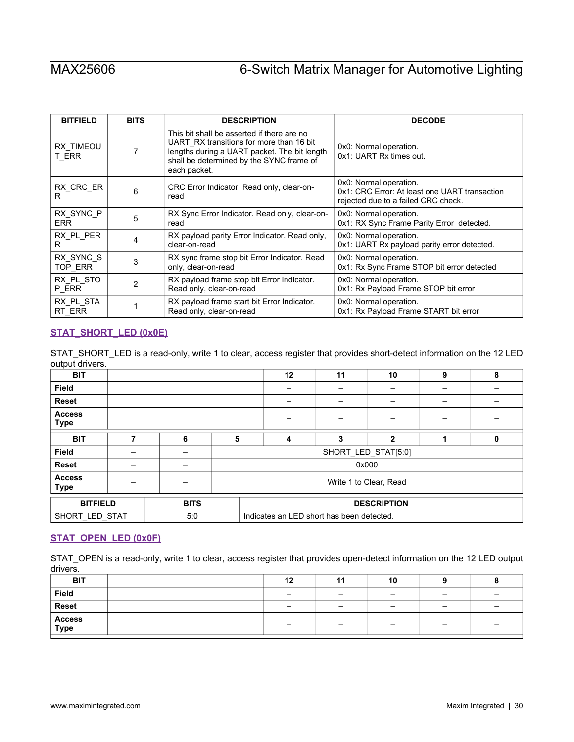| <b>BITFIELD</b>    | <b>BITS</b> | <b>DESCRIPTION</b>                                                                                                                                                                                 | <b>DECODE</b>                                                                                                  |  |  |
|--------------------|-------------|----------------------------------------------------------------------------------------------------------------------------------------------------------------------------------------------------|----------------------------------------------------------------------------------------------------------------|--|--|
| RX TIMEOU<br>T ERR | 7           | This bit shall be asserted if there are no<br>UART RX transitions for more than 16 bit<br>lengths during a UART packet. The bit length<br>shall be determined by the SYNC frame of<br>each packet. | 0x0: Normal operation.<br>0x1: UART Rx times out.                                                              |  |  |
| RX CRC ER<br>R     | 6           | CRC Error Indicator. Read only, clear-on-<br>read                                                                                                                                                  | 0x0: Normal operation.<br>0x1: CRC Error: At least one UART transaction<br>rejected due to a failed CRC check. |  |  |
| RX SYNC P          | 5           | RX Sync Error Indicator. Read only, clear-on-                                                                                                                                                      | 0x0: Normal operation.                                                                                         |  |  |
| <b>ERR</b>         |             | read                                                                                                                                                                                               | 0x1: RX Sync Frame Parity Error detected.                                                                      |  |  |
| RX PL PER          | 4           | RX payload parity Error Indicator. Read only,                                                                                                                                                      | 0x0: Normal operation.                                                                                         |  |  |
| R                  |             | clear-on-read                                                                                                                                                                                      | 0x1: UART Rx payload parity error detected.                                                                    |  |  |
| RX SYNC S          | 3           | RX sync frame stop bit Error Indicator. Read                                                                                                                                                       | 0x0: Normal operation.                                                                                         |  |  |
| TOP_ERR            |             | only, clear-on-read                                                                                                                                                                                | 0x1: Rx Sync Frame STOP bit error detected                                                                     |  |  |
| RX PL STO          | 2           | RX payload frame stop bit Error Indicator.                                                                                                                                                         | 0x0: Normal operation.                                                                                         |  |  |
| P_ERR              |             | Read only, clear-on-read                                                                                                                                                                           | 0x1: Rx Payload Frame STOP bit error                                                                           |  |  |
| RX PL STA          |             | RX payload frame start bit Error Indicator.                                                                                                                                                        | 0x0: Normal operation.                                                                                         |  |  |
| RT ERR             |             | Read only, clear-on-read                                                                                                                                                                           | 0x1: Rx Payload Frame START bit error                                                                          |  |  |

## <span id="page-29-0"></span>**[STAT\\_SHORT\\_LED \(0x0E\)](#page-18-1)**

STAT\_SHORT\_LED is a read-only, write 1 to clear, access register that provides short-detect information on the 12 LED output drivers.

| <b>BIT</b>                   |   |             |                        | 12                                        | 11 | 10           | 9 | 8 |
|------------------------------|---|-------------|------------------------|-------------------------------------------|----|--------------|---|---|
| <b>Field</b>                 |   |             |                        |                                           |    |              |   |   |
| <b>Reset</b>                 |   |             |                        |                                           |    |              |   |   |
| <b>Access</b><br><b>Type</b> |   |             |                        |                                           |    |              |   |   |
| <b>BIT</b>                   | 7 | 6           | 5                      | 4                                         | 3  | $\mathbf{2}$ |   | 0 |
| <b>Field</b>                 |   |             | SHORT_LED_STAT[5:0]    |                                           |    |              |   |   |
| Reset                        |   |             |                        |                                           |    | 0x000        |   |   |
| <b>Access</b><br><b>Type</b> |   |             | Write 1 to Clear, Read |                                           |    |              |   |   |
| <b>BITFIELD</b>              |   | <b>BITS</b> | <b>DESCRIPTION</b>     |                                           |    |              |   |   |
| SHORT_LED_STAT               |   | 5:0         |                        | Indicates an LED short has been detected. |    |              |   |   |

# <span id="page-29-1"></span>**[STAT\\_OPEN\\_LED \(0x0F\)](#page-18-1)**

STAT\_OPEN is a read-only, write 1 to clear, access register that provides open-detect information on the 12 LED output drivers.

| <b>BIT</b>     | 12                       | 11 | 10 |                          |                          |
|----------------|--------------------------|----|----|--------------------------|--------------------------|
| Field          | $\overline{\phantom{0}}$ | -  | -  | $\qquad \qquad$          | -                        |
| <b>Reset</b>   | -                        | -  | -  | -                        |                          |
| Access<br>Type |                          | -  |    | $\overline{\phantom{a}}$ | $\overline{\phantom{a}}$ |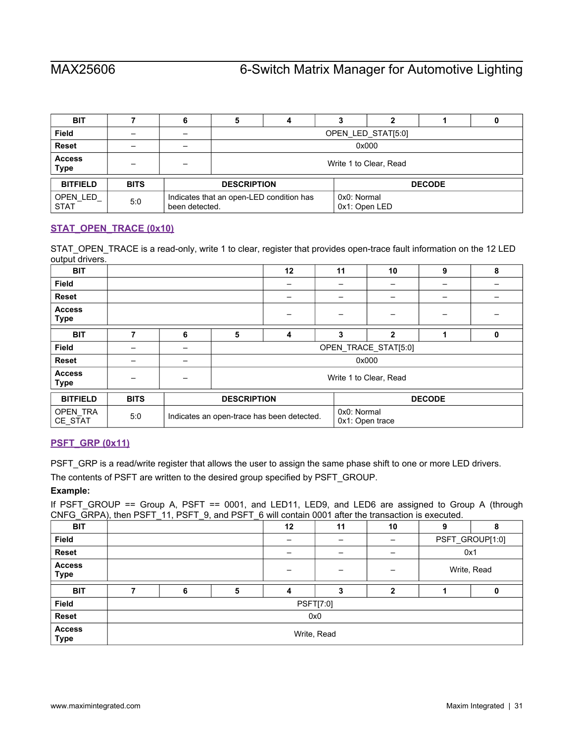| <b>BIT</b>                   |             | O                                                          | 4 |  | っ                            |  |  |  |  |
|------------------------------|-------------|------------------------------------------------------------|---|--|------------------------------|--|--|--|--|
| <b>Field</b>                 |             | OPEN LED STAT[5:0]                                         |   |  |                              |  |  |  |  |
| <b>Reset</b>                 |             | 0x000                                                      |   |  |                              |  |  |  |  |
| <b>Access</b><br><b>Type</b> |             | Write 1 to Clear, Read                                     |   |  |                              |  |  |  |  |
| <b>BITFIELD</b>              | <b>BITS</b> | <b>DESCRIPTION</b>                                         |   |  | <b>DECODE</b>                |  |  |  |  |
| OPEN LED<br><b>STAT</b>      | 5:0         | Indicates that an open-LED condition has<br>been detected. |   |  | 0x0: Normal<br>0x1: Open LED |  |  |  |  |

# <span id="page-30-0"></span>**STAT\_OPEN\_TRACE (0x10)**

STAT\_OPEN\_TRACE is a read-only, write 1 to clear, register that provides open-trace fault information on the 12 LED output drivers.

| <b>BIT</b>                   |             |   |                        | 12                                         | 11          | 10                   | 9             | 8 |  |  |
|------------------------------|-------------|---|------------------------|--------------------------------------------|-------------|----------------------|---------------|---|--|--|
| <b>Field</b>                 |             |   |                        |                                            |             |                      |               |   |  |  |
| <b>Reset</b>                 |             |   |                        |                                            |             |                      | -             |   |  |  |
| <b>Access</b><br><b>Type</b> |             |   |                        |                                            |             |                      |               |   |  |  |
| <b>BIT</b>                   | 7           | 6 | 5                      | 4                                          | 3           | $\mathbf{2}$         |               | 0 |  |  |
| <b>Field</b>                 |             |   |                        |                                            |             | OPEN TRACE STAT[5:0] |               |   |  |  |
| <b>Reset</b>                 |             |   |                        |                                            |             | 0x000                |               |   |  |  |
| <b>Access</b><br><b>Type</b> |             |   | Write 1 to Clear, Read |                                            |             |                      |               |   |  |  |
| <b>BITFIELD</b>              | <b>BITS</b> |   | <b>DESCRIPTION</b>     |                                            |             |                      | <b>DECODE</b> |   |  |  |
| OPEN_TRA<br>CE_STAT          | 5:0         |   |                        | Indicates an open-trace has been detected. | 0x0: Normal | 0x1: Open trace      |               |   |  |  |

# <span id="page-30-1"></span>**[PSFT\\_GRP \(0x11\)](#page-18-1)**

PSFT\_GRP is a read/write register that allows the user to assign the same phase shift to one or more LED drivers.

The contents of PSFT are written to the desired group specified by PSFT\_GROUP.

### **Example:**

If PSFT\_GROUP == Group A, PSFT == 0001, and LED11, LED9, and LED6 are assigned to Group A (through CNFG\_GRPA), then PSFT\_11, PSFT\_9, and PSFT\_6 will contain 0001 after the transaction is executed.

| <b>BIT</b>                   | $\cdot$ | ____        |   | 12 | 11               | 10 | 9           | 8               |  |
|------------------------------|---------|-------------|---|----|------------------|----|-------------|-----------------|--|
| Field                        |         |             |   |    |                  |    |             | PSFT_GROUP[1:0] |  |
| Reset                        |         |             |   |    |                  |    | 0x1         |                 |  |
| <b>Access</b><br><b>Type</b> |         |             |   |    | -                | -  | Write, Read |                 |  |
| <b>BIT</b>                   |         | 6           | 5 |    | 3                | 2  |             |                 |  |
| Field                        |         |             |   |    | <b>PSFT[7:0]</b> |    |             |                 |  |
| Reset                        |         | 0x0         |   |    |                  |    |             |                 |  |
| <b>Access</b><br><b>Type</b> |         | Write, Read |   |    |                  |    |             |                 |  |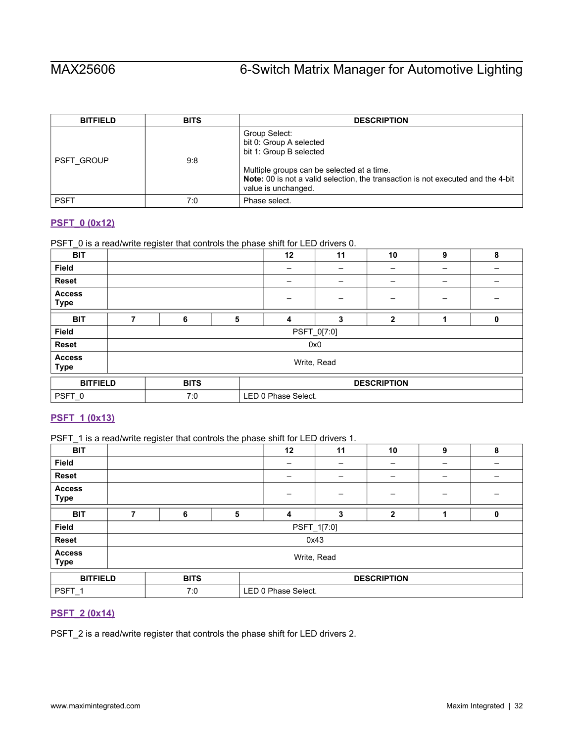| <b>BITFIELD</b>   | <b>BITS</b> | <b>DESCRIPTION</b>                                                                                                                                                                                                           |
|-------------------|-------------|------------------------------------------------------------------------------------------------------------------------------------------------------------------------------------------------------------------------------|
| <b>PSFT GROUP</b> | 9.8         | Group Select:<br>bit 0: Group A selected<br>bit 1: Group B selected<br>Multiple groups can be selected at a time.<br>Note: 00 is not a valid selection, the transaction is not executed and the 4-bit<br>value is unchanged. |
| <b>PSFT</b>       | 7:0         | Phase select.                                                                                                                                                                                                                |

## <span id="page-31-0"></span>**[PSFT\\_0 \(0x12\)](#page-18-1)**

PSFT\_0 is a read/write register that controls the phase shift for LED drivers 0.

| <b>BIT</b>                   |                                   |   |   | 12 | 11  | 10           | 9 | 8 |
|------------------------------|-----------------------------------|---|---|----|-----|--------------|---|---|
| <b>Field</b>                 |                                   |   |   |    |     |              |   |   |
| Reset                        |                                   |   |   |    |     |              |   |   |
| <b>Access</b><br><b>Type</b> |                                   |   |   |    |     | -            | - |   |
| <b>BIT</b>                   | ⇁                                 | 6 | 5 | 4  | 3   | $\mathbf{2}$ |   | 0 |
| Field                        | PSFT_0[7:0]                       |   |   |    |     |              |   |   |
| <b>Reset</b>                 |                                   |   |   |    | 0x0 |              |   |   |
| <b>Access</b><br><b>Type</b> | Write, Read                       |   |   |    |     |              |   |   |
| <b>BITFIELD</b>              | <b>DESCRIPTION</b><br><b>BITS</b> |   |   |    |     |              |   |   |
| PSFT_0                       | LED 0 Phase Select.<br>7:0        |   |   |    |     |              |   |   |

# <span id="page-31-1"></span>**[PSFT\\_1 \(0x13\)](#page-18-1)**

PSFT\_1 is a read/write register that controls the phase shift for LED drivers 1.

| <b>BIT</b>                   |             |             |   | 12                  | 11          | 10                 | 9 | 8 |  |
|------------------------------|-------------|-------------|---|---------------------|-------------|--------------------|---|---|--|
| <b>Field</b>                 |             |             |   | -                   |             |                    |   | - |  |
| Reset                        |             |             |   |                     |             |                    |   |   |  |
| <b>Access</b><br><b>Type</b> |             |             |   |                     |             |                    |   |   |  |
| <b>BIT</b>                   | 7           | 6           | 5 | 4                   | 3           | $\mathbf{2}$       |   | 0 |  |
| <b>Field</b>                 |             |             |   |                     | PSFT_1[7.0] |                    |   |   |  |
| Reset                        |             |             |   |                     | 0x43        |                    |   |   |  |
| <b>Access</b><br><b>Type</b> | Write, Read |             |   |                     |             |                    |   |   |  |
| <b>BITFIELD</b>              |             | <b>BITS</b> |   |                     |             | <b>DESCRIPTION</b> |   |   |  |
| PSFT <sub>1</sub>            |             | 7:0         |   | LED 0 Phase Select. |             |                    |   |   |  |

# <span id="page-31-2"></span>**[PSFT\\_2 \(0x14\)](#page-18-1)**

PSFT\_2 is a read/write register that controls the phase shift for LED drivers 2.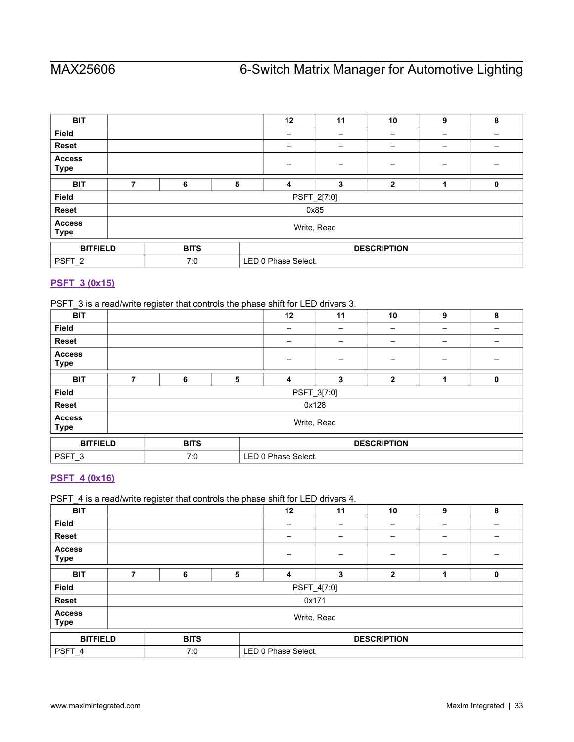| <b>BIT</b>                   |             |             |   | 12                  | 11   | 10                 | 9 | 8 |
|------------------------------|-------------|-------------|---|---------------------|------|--------------------|---|---|
| Field                        |             |             |   |                     |      | -                  |   | - |
| Reset                        |             |             |   |                     |      |                    |   |   |
| <b>Access</b><br><b>Type</b> |             |             |   |                     |      |                    |   |   |
| <b>BIT</b>                   | 7           | 6           | 5 | 4                   | 3    | $\mathbf{2}$       |   | 0 |
| <b>Field</b>                 | PSFT_2[7:0] |             |   |                     |      |                    |   |   |
| <b>Reset</b>                 |             |             |   |                     | 0x85 |                    |   |   |
| <b>Access</b><br><b>Type</b> | Write, Read |             |   |                     |      |                    |   |   |
| <b>BITFIELD</b>              |             | <b>BITS</b> |   |                     |      | <b>DESCRIPTION</b> |   |   |
| PSFT_2                       |             | 7:0         |   | LED 0 Phase Select. |      |                    |   |   |

# <span id="page-32-0"></span>**[PSFT\\_3 \(0x15\)](#page-18-1)**

PSFT\_3 is a read/write register that controls the phase shift for LED drivers 3.

| <b>BIT</b>                   |             |             |   | 12                  | 11    | 10                 | 9 | 8 |
|------------------------------|-------------|-------------|---|---------------------|-------|--------------------|---|---|
| <b>Field</b>                 |             |             |   |                     |       | -                  | - | - |
| <b>Reset</b>                 |             |             |   |                     |       | -                  | - | - |
| <b>Access</b><br><b>Type</b> |             |             |   |                     |       |                    |   |   |
| <b>BIT</b>                   | 7           | 6           | 5 | 4                   | 3     | 2                  |   | 0 |
| <b>Field</b>                 | PSFT_3[7:0] |             |   |                     |       |                    |   |   |
| Reset                        |             |             |   |                     | 0x128 |                    |   |   |
| <b>Access</b><br><b>Type</b> | Write, Read |             |   |                     |       |                    |   |   |
| <b>BITFIELD</b>              |             | <b>BITS</b> |   |                     |       | <b>DESCRIPTION</b> |   |   |
| PSFT_3                       |             | 7:0         |   | LED 0 Phase Select. |       |                    |   |   |

# <span id="page-32-1"></span>**[PSFT\\_4 \(0x16\)](#page-18-1)**

PSFT\_4 is a read/write register that controls the phase shift for LED drivers 4.

| <b>BIT</b>                   |             |             |   | 12                  | 11    | 10           | 9 | 8 |
|------------------------------|-------------|-------------|---|---------------------|-------|--------------|---|---|
| Field                        |             |             |   |                     |       | -            |   |   |
| <b>Reset</b>                 |             |             |   |                     |       |              |   |   |
| <b>Access</b><br><b>Type</b> |             |             |   |                     |       |              |   |   |
| <b>BIT</b>                   | 7           | 6           | 5 | 4                   | 3     | $\mathbf{2}$ |   | 0 |
| <b>Field</b>                 | PSFT_4[7:0] |             |   |                     |       |              |   |   |
| <b>Reset</b>                 |             |             |   |                     | 0x171 |              |   |   |
| <b>Access</b><br><b>Type</b> | Write, Read |             |   |                     |       |              |   |   |
| <b>BITFIELD</b>              |             | <b>BITS</b> |   | <b>DESCRIPTION</b>  |       |              |   |   |
| PSFT_4                       |             | 7:0         |   | LED 0 Phase Select. |       |              |   |   |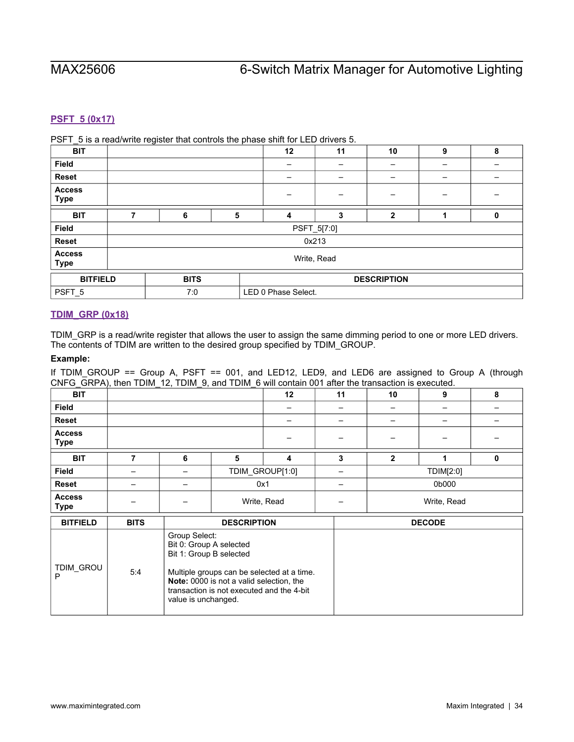# <span id="page-33-0"></span>**[PSFT\\_5 \(0x17\)](#page-18-1)**

PSFT\_5 is a read/write register that controls the phase shift for LED drivers 5.

| _<br><b>BIT</b>              |             |             |   | 12                  | 11    | 10           | 9 | 8 |
|------------------------------|-------------|-------------|---|---------------------|-------|--------------|---|---|
| Field                        |             |             |   |                     |       |              |   |   |
| <b>Reset</b>                 |             |             |   |                     |       |              |   |   |
| <b>Access</b><br><b>Type</b> |             |             |   |                     |       | -            | — |   |
| <b>BIT</b>                   | 7           | 6           | 5 | 4                   | 3     | $\mathbf{2}$ |   | 0 |
| Field                        | PSFT_5[7:0] |             |   |                     |       |              |   |   |
| Reset                        |             |             |   |                     | 0x213 |              |   |   |
| <b>Access</b><br><b>Type</b> | Write, Read |             |   |                     |       |              |   |   |
| <b>BITFIELD</b>              |             | <b>BITS</b> |   | <b>DESCRIPTION</b>  |       |              |   |   |
| PSFT_5                       |             | 7:0         |   | LED 0 Phase Select. |       |              |   |   |

## <span id="page-33-1"></span>**[TDIM\\_GRP \(0x18\)](#page-18-1)**

TDIM\_GRP is a read/write register that allows the user to assign the same dimming period to one or more LED drivers. The contents of TDIM are written to the desired group specified by TDIM\_GROUP.

### **Example:**

If TDIM\_GROUP == Group A, PSFT == 001, and LED12, LED9, and LED6 are assigned to Group A (through CNFG\_GRPA), then TDIM\_12, TDIM\_9, and TDIM\_6 will contain 001 after the transaction is executed.

| <b>BIT</b>                   |             |               |                    | 12                      | 11 | 10           | 9             | 8 |
|------------------------------|-------------|---------------|--------------------|-------------------------|----|--------------|---------------|---|
| <b>Field</b>                 |             |               |                    |                         |    |              | -             |   |
| <b>Reset</b>                 |             |               |                    |                         |    |              | -             |   |
| <b>Access</b><br><b>Type</b> |             |               |                    |                         |    | –            | -             |   |
| <b>BIT</b>                   |             | 6             | 5                  | $\overline{\mathbf{4}}$ | 3  | $\mathbf{2}$ |               | 0 |
| <b>Field</b>                 | -           |               |                    | TDIM_GROUP[1:0]         | -  | TDIM[2:0]    |               |   |
| <b>Reset</b>                 | -           | -             |                    | 0x1                     |    | 0b000        |               |   |
| <b>Access</b><br><b>Type</b> |             | -             |                    | Write, Read             | -  | Write, Read  |               |   |
| <b>BITFIELD</b>              | <b>BITS</b> |               | <b>DESCRIPTION</b> |                         |    |              | <b>DECODE</b> |   |
|                              |             | Group Select: |                    |                         |    |              |               |   |

| <b>BUFIELD</b> | ыы  | <b>DESURIPTIUN</b>                                                                                                                                                                                                                       | DEGODE |
|----------------|-----|------------------------------------------------------------------------------------------------------------------------------------------------------------------------------------------------------------------------------------------|--------|
| TDIM GROU      | 5.4 | Group Select:<br>Bit 0: Group A selected<br>Bit 1: Group B selected<br>Multiple groups can be selected at a time.<br><b>Note:</b> 0000 is not a valid selection, the<br>transaction is not executed and the 4-bit<br>value is unchanged. |        |
|                |     |                                                                                                                                                                                                                                          |        |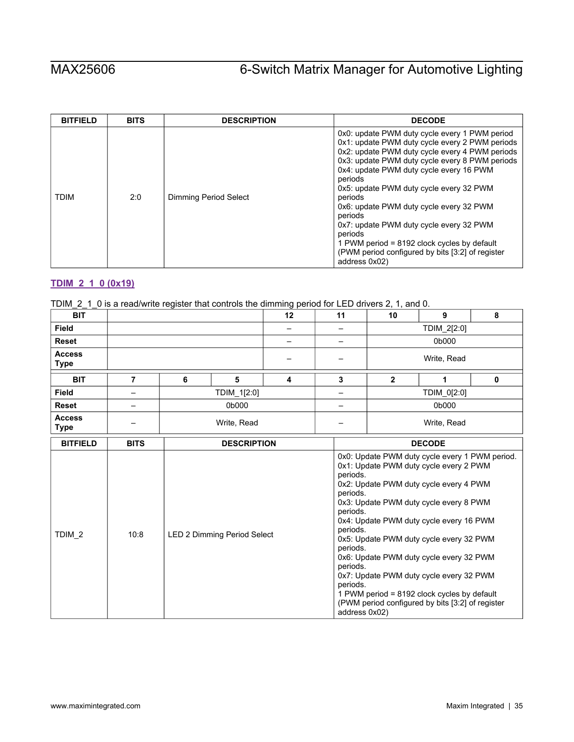| <b>BITFIELD</b> | <b>BITS</b> | <b>DESCRIPTION</b>    | <b>DECODE</b>                                                                                                                                                                                                                                                                                                                                                                                                                                                                                                                                     |
|-----------------|-------------|-----------------------|---------------------------------------------------------------------------------------------------------------------------------------------------------------------------------------------------------------------------------------------------------------------------------------------------------------------------------------------------------------------------------------------------------------------------------------------------------------------------------------------------------------------------------------------------|
| <b>TDIM</b>     | 2:0         | Dimming Period Select | 0x0: update PWM duty cycle every 1 PWM period<br>0x1: update PWM duty cycle every 2 PWM periods<br>0x2: update PWM duty cycle every 4 PWM periods<br>0x3: update PWM duty cycle every 8 PWM periods<br>0x4: update PWM duty cycle every 16 PWM<br>periods<br>0x5: update PWM duty cycle every 32 PWM<br>periods<br>0x6: update PWM duty cycle every 32 PWM<br>periods<br>0x7: update PWM duty cycle every 32 PWM<br>periods<br>1 PWM period = $8192$ clock cycles by default<br>(PWM period configured by bits [3:2] of register<br>address 0x02) |

# <span id="page-34-0"></span>**[TDIM\\_2\\_1\\_0 \(0x19\)](#page-18-1)**

|  |  |  |  |  | TDIM_2_1_0 is a read/write register that controls the dimming period for LED drivers 2, 1, and 0. |
|--|--|--|--|--|---------------------------------------------------------------------------------------------------|
|--|--|--|--|--|---------------------------------------------------------------------------------------------------|

| <b>BIT</b>                   |                |                    |                             | 12                      | 11 | 10                                                                                                | 9                                                                                                                                                                                                                                                                                                                                                                                                                                                           | 8 |
|------------------------------|----------------|--------------------|-----------------------------|-------------------------|----|---------------------------------------------------------------------------------------------------|-------------------------------------------------------------------------------------------------------------------------------------------------------------------------------------------------------------------------------------------------------------------------------------------------------------------------------------------------------------------------------------------------------------------------------------------------------------|---|
| Field                        |                |                    |                             |                         |    |                                                                                                   | TDIM_2[2:0]                                                                                                                                                                                                                                                                                                                                                                                                                                                 |   |
| <b>Reset</b>                 |                |                    |                             |                         | —  |                                                                                                   | 0b000                                                                                                                                                                                                                                                                                                                                                                                                                                                       |   |
| <b>Access</b><br><b>Type</b> |                |                    |                             |                         |    |                                                                                                   | Write, Read                                                                                                                                                                                                                                                                                                                                                                                                                                                 |   |
| <b>BIT</b>                   | $\overline{7}$ | 6                  | 5                           | $\overline{\mathbf{4}}$ | 3  | $\mathbf{2}$                                                                                      | 1                                                                                                                                                                                                                                                                                                                                                                                                                                                           | 0 |
| <b>Field</b>                 | —              |                    | TDIM_1[2:0]                 |                         | —  |                                                                                                   | TDIM_0[2:0]                                                                                                                                                                                                                                                                                                                                                                                                                                                 |   |
| <b>Reset</b>                 | —              |                    | 0b000                       |                         |    |                                                                                                   | 0b000                                                                                                                                                                                                                                                                                                                                                                                                                                                       |   |
| <b>Access</b><br><b>Type</b> |                | Write, Read        |                             |                         |    | Write, Read                                                                                       |                                                                                                                                                                                                                                                                                                                                                                                                                                                             |   |
| <b>BITFIELD</b>              | <b>BITS</b>    | <b>DESCRIPTION</b> |                             |                         |    |                                                                                                   | <b>DECODE</b>                                                                                                                                                                                                                                                                                                                                                                                                                                               |   |
| TDIM <sub>2</sub>            | 10:8           |                    | LED 2 Dimming Period Select |                         |    | periods.<br>periods.<br>periods.<br>periods.<br>periods.<br>periods.<br>periods.<br>address 0x02) | 0x0: Update PWM duty cycle every 1 PWM period.<br>0x1: Update PWM duty cycle every 2 PWM<br>0x2: Update PWM duty cycle every 4 PWM<br>0x3: Update PWM duty cycle every 8 PWM<br>0x4: Update PWM duty cycle every 16 PWM<br>0x5: Update PWM duty cycle every 32 PWM<br>0x6: Update PWM duty cycle every 32 PWM<br>0x7: Update PWM duty cycle every 32 PWM<br>1 PWM period = 8192 clock cycles by default<br>(PWM period configured by bits [3:2] of register |   |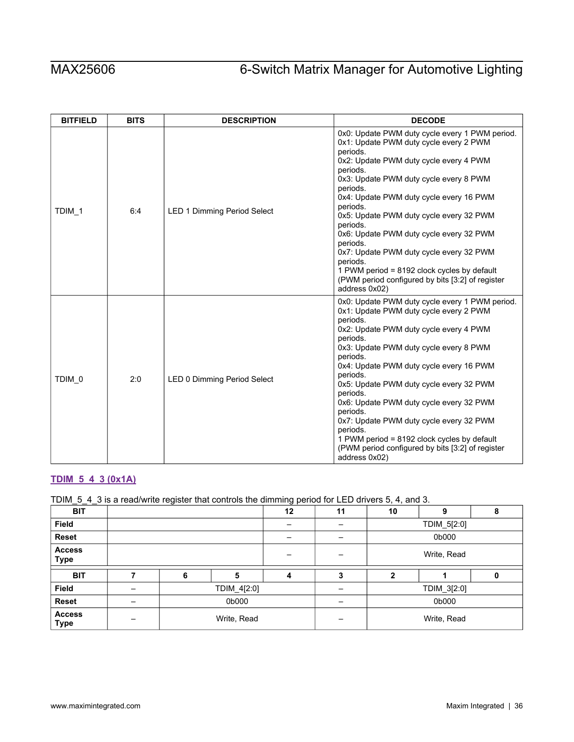| <b>BITFIELD</b> | <b>BITS</b> | <b>DESCRIPTION</b>                 | <b>DECODE</b>                                                                                                                                                                                                                                                                                                                                                                                                                                                                                                                                                    |
|-----------------|-------------|------------------------------------|------------------------------------------------------------------------------------------------------------------------------------------------------------------------------------------------------------------------------------------------------------------------------------------------------------------------------------------------------------------------------------------------------------------------------------------------------------------------------------------------------------------------------------------------------------------|
| TDIM 1          | 6:4         | <b>LED 1 Dimming Period Select</b> | 0x0: Update PWM duty cycle every 1 PWM period.<br>0x1: Update PWM duty cycle every 2 PWM<br>periods.<br>0x2: Update PWM duty cycle every 4 PWM<br>periods.<br>0x3: Update PWM duty cycle every 8 PWM<br>periods.<br>0x4: Update PWM duty cycle every 16 PWM<br>periods.<br>0x5: Update PWM duty cycle every 32 PWM<br>periods.<br>0x6: Update PWM duty cycle every 32 PWM<br>periods.<br>0x7: Update PWM duty cycle every 32 PWM<br>periods.<br>1 PWM period = 8192 clock cycles by default<br>(PWM period configured by bits [3:2] of register<br>address 0x02) |
| TDIM 0          | 2:0         | LED 0 Dimming Period Select        | 0x0: Update PWM duty cycle every 1 PWM period.<br>0x1: Update PWM duty cycle every 2 PWM<br>periods.<br>0x2: Update PWM duty cycle every 4 PWM<br>periods.<br>0x3: Update PWM duty cycle every 8 PWM<br>periods.<br>0x4: Update PWM duty cycle every 16 PWM<br>periods.<br>0x5: Update PWM duty cycle every 32 PWM<br>periods.<br>0x6: Update PWM duty cycle every 32 PWM<br>periods.<br>0x7: Update PWM duty cycle every 32 PWM<br>periods.<br>1 PWM period = 8192 clock cycles by default<br>(PWM period configured by bits [3:2] of register<br>address 0x02) |

# <span id="page-35-0"></span>**[TDIM\\_5\\_4\\_3 \(0x1A\)](#page-18-1)**

# TDIM\_5\_4\_3 is a read/write register that controls the dimming period for LED drivers 5, 4, and 3.

| <b>BIT</b>                   |  |   |             |   | 11 | 10           | 9           | 8 |
|------------------------------|--|---|-------------|---|----|--------------|-------------|---|
| <b>Field</b>                 |  |   |             |   |    | TDIM_5[2:0]  |             |   |
| Reset                        |  |   |             |   |    | 0b000        |             |   |
| <b>Access</b><br><b>Type</b> |  |   |             |   |    | Write, Read  |             |   |
| <b>BIT</b>                   |  | 6 | 5           | 4 | 3  | $\mathbf{2}$ |             | 0 |
|                              |  |   |             |   |    |              |             |   |
| <b>Field</b>                 |  |   | TDIM_4[2:0] |   |    |              | TDIM_3[2:0] |   |
| Reset                        |  |   | 0b000       |   |    |              | 0b000       |   |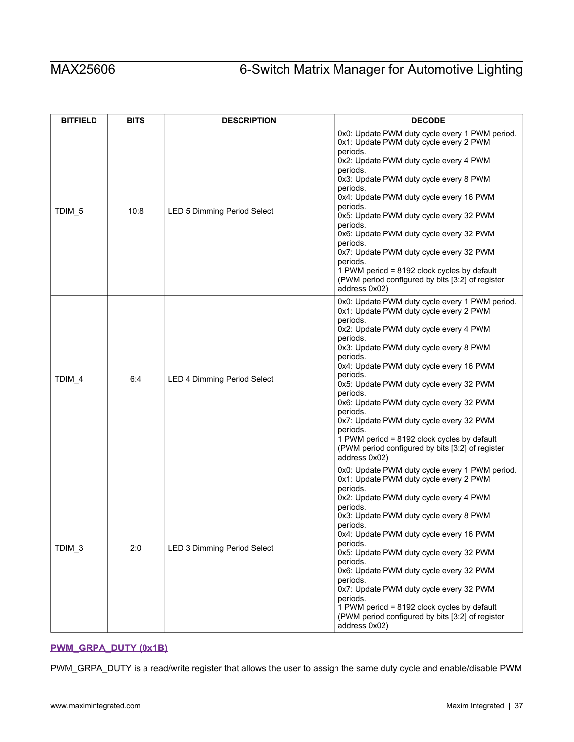| <b>BITFIELD</b>   | <b>BITS</b> | <b>DESCRIPTION</b>                 | <b>DECODE</b>                                                                                                                                                                                                                                                                                                                                                                                                                                                                                                                                                    |  |  |  |
|-------------------|-------------|------------------------------------|------------------------------------------------------------------------------------------------------------------------------------------------------------------------------------------------------------------------------------------------------------------------------------------------------------------------------------------------------------------------------------------------------------------------------------------------------------------------------------------------------------------------------------------------------------------|--|--|--|
| TDIM <sub>5</sub> | 10:8        | <b>LED 5 Dimming Period Select</b> | 0x0: Update PWM duty cycle every 1 PWM period.<br>0x1: Update PWM duty cycle every 2 PWM<br>periods.<br>0x2: Update PWM duty cycle every 4 PWM<br>periods.<br>0x3: Update PWM duty cycle every 8 PWM<br>periods.<br>0x4: Update PWM duty cycle every 16 PWM<br>periods.<br>0x5: Update PWM duty cycle every 32 PWM<br>periods.<br>0x6: Update PWM duty cycle every 32 PWM<br>periods.<br>0x7: Update PWM duty cycle every 32 PWM<br>periods.<br>1 PWM period = 8192 clock cycles by default<br>(PWM period configured by bits [3:2] of register<br>address 0x02) |  |  |  |
| TDIM_4            | 6:4         | <b>LED 4 Dimming Period Select</b> | 0x0: Update PWM duty cycle every 1 PWM period.<br>0x1: Update PWM duty cycle every 2 PWM<br>periods.<br>0x2: Update PWM duty cycle every 4 PWM<br>periods.<br>0x3: Update PWM duty cycle every 8 PWM<br>periods.<br>0x4: Update PWM duty cycle every 16 PWM<br>periods.<br>0x5: Update PWM duty cycle every 32 PWM<br>periods.<br>0x6: Update PWM duty cycle every 32 PWM<br>periods.<br>0x7: Update PWM duty cycle every 32 PWM<br>periods.<br>1 PWM period = 8192 clock cycles by default<br>(PWM period configured by bits [3:2] of register<br>address 0x02) |  |  |  |
| TDIM <sub>3</sub> | 2:0         | LED 3 Dimming Period Select        | 0x0: Update PWM duty cycle every 1 PWM period.<br>0x1: Update PWM duty cycle every 2 PWM<br>periods.<br>0x2: Update PWM duty cycle every 4 PWM<br>periods.<br>0x3: Update PWM duty cycle every 8 PWM<br>periods.<br>0x4: Update PWM duty cycle every 16 PWM<br>periods.<br>0x5: Update PWM duty cycle every 32 PWM<br>periods.<br>0x6: Update PWM duty cycle every 32 PWM<br>periods.<br>0x7: Update PWM duty cycle every 32 PWM<br>periods.<br>1 PWM period = 8192 clock cycles by default<br>(PWM period configured by bits [3:2] of register<br>address 0x02) |  |  |  |

# <span id="page-36-0"></span>**[PWM\\_GRPA\\_DUTY \(0x1B\)](#page-18-1)**

PWM\_GRPA\_DUTY is a read/write register that allows the user to assign the same duty cycle and enable/disable PWM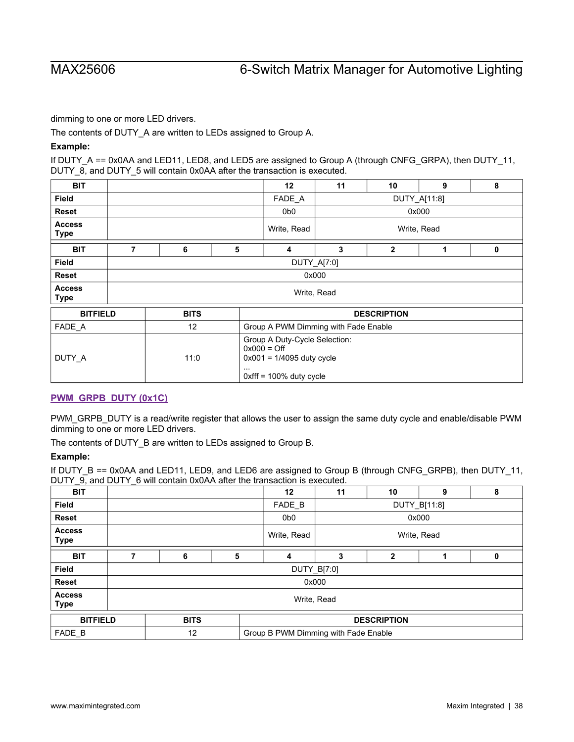dimming to one or more LED drivers.

The contents of DUTY A are written to LEDs assigned to Group A.

## **Example:**

If DUTY\_A == 0x0AA and LED11, LED8, and LED5 are assigned to Group A (through CNFG\_GRPA), then DUTY\_11, DUTY\_8, and DUTY\_5 will contain 0x0AA after the transaction is executed.

| <b>BIT</b>                   |                                                                                                                     |             |   |                                      | 11                 | 10             | 9           | 8 |  |  |
|------------------------------|---------------------------------------------------------------------------------------------------------------------|-------------|---|--------------------------------------|--------------------|----------------|-------------|---|--|--|
| <b>Field</b>                 |                                                                                                                     |             |   | FADE A                               | DUTY_A[11:8]       |                |             |   |  |  |
| <b>Reset</b>                 |                                                                                                                     |             |   | 0b <sub>0</sub>                      |                    |                | 0x000       |   |  |  |
| <b>Access</b><br><b>Type</b> |                                                                                                                     |             |   | Write, Read                          |                    |                | Write, Read |   |  |  |
| <b>BIT</b>                   | 7                                                                                                                   | 6           | 5 | 4                                    | 3                  | $\overline{2}$ | 1           | 0 |  |  |
| <b>Field</b>                 |                                                                                                                     | DUTY_A[7:0] |   |                                      |                    |                |             |   |  |  |
| Reset                        | 0x000                                                                                                               |             |   |                                      |                    |                |             |   |  |  |
| <b>Access</b><br><b>Type</b> |                                                                                                                     | Write, Read |   |                                      |                    |                |             |   |  |  |
| <b>BITFIELD</b>              |                                                                                                                     | <b>BITS</b> |   |                                      | <b>DESCRIPTION</b> |                |             |   |  |  |
| FADE_A                       |                                                                                                                     | 12          |   | Group A PWM Dimming with Fade Enable |                    |                |             |   |  |  |
| DUTY_A                       | Group A Duty-Cycle Selection:<br>$0x000 =$ Off<br>$0x001 = 1/4095$ duty cycle<br>11:0<br>$0x$ fff = 100% duty cycle |             |   |                                      |                    |                |             |   |  |  |

### <span id="page-37-0"></span>**[PWM\\_GRPB\\_DUTY \(0x1C\)](#page-18-1)**

PWM\_GRPB\_DUTY is a read/write register that allows the user to assign the same duty cycle and enable/disable PWM dimming to one or more LED drivers.

The contents of DUTY\_B are written to LEDs assigned to Group B.

### **Example:**

If DUTY\_B == 0x0AA and LED11, LED9, and LED6 are assigned to Group B (through CNFG\_GRPB), then DUTY\_11, DUTY\_9, and DUTY\_6 will contain 0x0AA after the transaction is executed.

| <b>BIT</b>                   |             |                                            |                    | 12          | 11           | 10           | 9           | 8 |
|------------------------------|-------------|--------------------------------------------|--------------------|-------------|--------------|--------------|-------------|---|
| Field                        |             |                                            |                    |             | DUTY_B[11:8] |              |             |   |
| <b>Reset</b>                 |             |                                            |                    | 0b0         | 0x000        |              |             |   |
| <b>Access</b><br><b>Type</b> |             |                                            |                    | Write, Read |              |              | Write, Read |   |
| <b>BIT</b>                   |             | 6                                          | 5                  | 4           | 3            | $\mathbf{2}$ |             | 0 |
| <b>Field</b>                 |             | DUTY_B[7:0]                                |                    |             |              |              |             |   |
| <b>Reset</b>                 |             |                                            |                    |             | 0x000        |              |             |   |
| <b>Access</b><br><b>Type</b> | Write, Read |                                            |                    |             |              |              |             |   |
| <b>BITFIELD</b>              |             | <b>BITS</b>                                | <b>DESCRIPTION</b> |             |              |              |             |   |
| FADE B                       |             | 12<br>Group B PWM Dimming with Fade Enable |                    |             |              |              |             |   |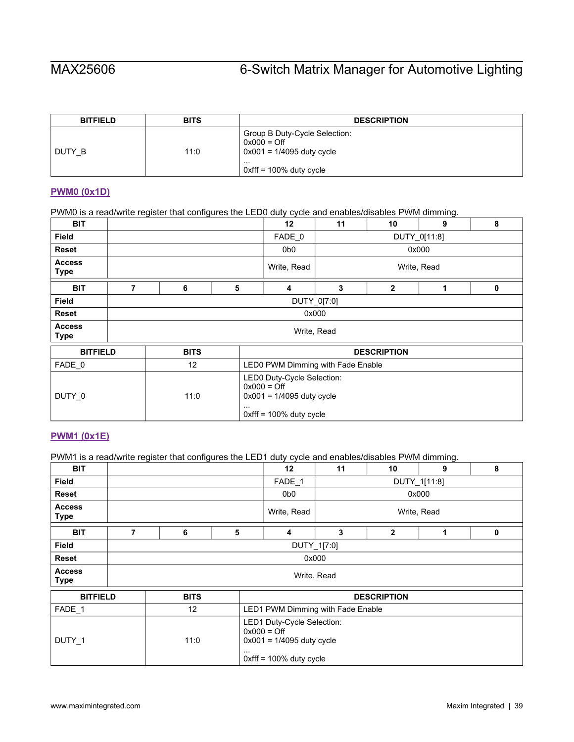| <b>BITFIELD</b> | <b>BITS</b> | <b>DESCRIPTION</b>                                                                                                  |
|-----------------|-------------|---------------------------------------------------------------------------------------------------------------------|
| DUTY B          | 11:0        | Group B Duty-Cycle Selection:<br>$0x000 =$ Off<br>$0x001 = 1/4095$ duty cycle<br>.<br>$\mu$ 0xfff = 100% duty cycle |

# <span id="page-38-0"></span>**[PWM0 \(0x1D\)](#page-18-1)**

PWM0 is a read/write register that configures the LED0 duty cycle and enables/disables PWM dimming.

| <b>BIT</b>                   |   |             |                                                                                                                      |                                   | 11           | 10             | 9 | 8 |  |
|------------------------------|---|-------------|----------------------------------------------------------------------------------------------------------------------|-----------------------------------|--------------|----------------|---|---|--|
| <b>Field</b>                 |   |             |                                                                                                                      | FADE 0                            | DUTY_0[11:8] |                |   |   |  |
| <b>Reset</b>                 |   |             |                                                                                                                      | 0b <sub>0</sub>                   | 0x000        |                |   |   |  |
| <b>Access</b><br><b>Type</b> |   |             |                                                                                                                      | Write, Read                       | Write, Read  |                |   |   |  |
| <b>BIT</b>                   | 7 | 6           | 5                                                                                                                    | 4                                 | 3            | $\overline{2}$ | 1 | 0 |  |
| <b>Field</b>                 |   | DUTY_0[7:0] |                                                                                                                      |                                   |              |                |   |   |  |
| <b>Reset</b>                 |   | 0x000       |                                                                                                                      |                                   |              |                |   |   |  |
| <b>Access</b><br><b>Type</b> |   | Write, Read |                                                                                                                      |                                   |              |                |   |   |  |
| <b>BITFIELD</b>              |   | <b>BITS</b> |                                                                                                                      | <b>DESCRIPTION</b>                |              |                |   |   |  |
| FADE 0                       |   | 12          |                                                                                                                      | LED0 PWM Dimming with Fade Enable |              |                |   |   |  |
| DUTY_0                       |   | 11:0        | LED0 Duty-Cycle Selection:<br>$0x000 =$ Off<br>$0x001 = 1/4095$ duty cycle<br>$\cdots$<br>$0x$ fff = 100% duty cycle |                                   |              |                |   |   |  |

## <span id="page-38-1"></span>**[PWM1 \(0x1E\)](#page-18-1)**

PWM1 is a read/write register that configures the LED1 duty cycle and enables/disables PWM dimming.

| <b>BIT</b>                   |   |             |   |                                                                                                          | 11           | 10                 | 9           | 8 |  |
|------------------------------|---|-------------|---|----------------------------------------------------------------------------------------------------------|--------------|--------------------|-------------|---|--|
| <b>Field</b>                 |   |             |   | FADE_1                                                                                                   | DUTY_1[11:8] |                    |             |   |  |
| Reset                        |   |             |   |                                                                                                          | 0x000        |                    |             |   |  |
| <b>Access</b><br><b>Type</b> |   |             |   | Write, Read                                                                                              |              |                    | Write, Read |   |  |
| <b>BIT</b>                   | 7 | 6           | 5 | 4                                                                                                        | 3            | $\overline{2}$     | 1           | 0 |  |
| <b>Field</b>                 |   | DUTY_1[7:0] |   |                                                                                                          |              |                    |             |   |  |
| Reset                        |   | 0x000       |   |                                                                                                          |              |                    |             |   |  |
| <b>Access</b><br><b>Type</b> |   | Write, Read |   |                                                                                                          |              |                    |             |   |  |
| <b>BITFIELD</b>              |   | <b>BITS</b> |   |                                                                                                          |              | <b>DESCRIPTION</b> |             |   |  |
| FADE_1                       |   | 12          |   | LED1 PWM Dimming with Fade Enable                                                                        |              |                    |             |   |  |
| DUTY_1                       |   | 11:0        |   | LED1 Duty-Cycle Selection:<br>$0x000 =$ Off<br>$0x001 = 1/4095$ duty cycle<br>$0x$ fff = 100% duty cycle |              |                    |             |   |  |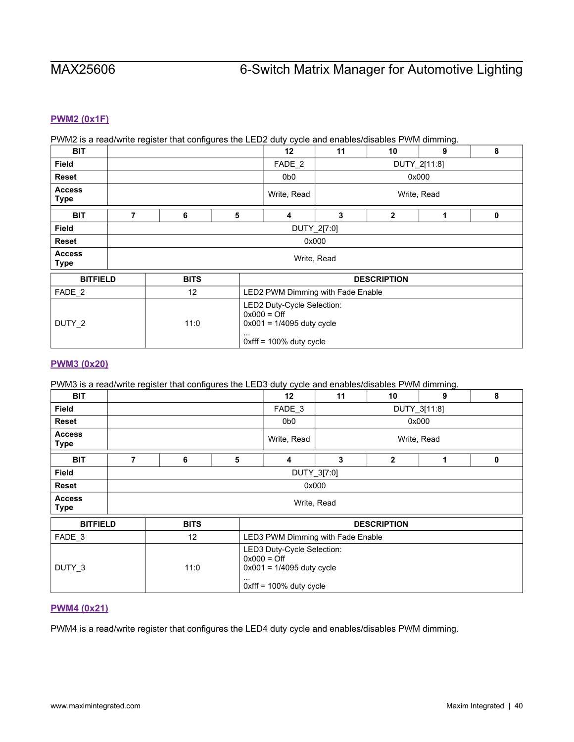## <span id="page-39-0"></span>**[PWM2 \(0x1F\)](#page-18-1)**

### PWM2 is a read/write register that configures the LED2 duty cycle and enables/disables PWM dimming.

| <b>BIT</b>                   |   |             |          |                                                                                                          | 11           | 10                 | 9 | 8 |  |
|------------------------------|---|-------------|----------|----------------------------------------------------------------------------------------------------------|--------------|--------------------|---|---|--|
| <b>Field</b>                 |   |             |          | FADE <sub>2</sub>                                                                                        | DUTY_2[11:8] |                    |   |   |  |
| <b>Reset</b>                 |   |             |          | 0b0                                                                                                      | 0x000        |                    |   |   |  |
| <b>Access</b><br><b>Type</b> |   |             |          | Write, Read                                                                                              | Write, Read  |                    |   |   |  |
| <b>BIT</b>                   | 7 | 6           | 5        | $\overline{\mathbf{4}}$                                                                                  | 3            | $\overline{2}$     | 1 | 0 |  |
| <b>Field</b>                 |   | DUTY_2[7:0] |          |                                                                                                          |              |                    |   |   |  |
| <b>Reset</b>                 |   | 0x000       |          |                                                                                                          |              |                    |   |   |  |
| <b>Access</b><br><b>Type</b> |   |             |          |                                                                                                          | Write, Read  |                    |   |   |  |
| <b>BITFIELD</b>              |   | <b>BITS</b> |          |                                                                                                          |              | <b>DESCRIPTION</b> |   |   |  |
| FADE_2                       |   | 12          |          | LED2 PWM Dimming with Fade Enable                                                                        |              |                    |   |   |  |
| DUTY_2                       |   | 11:0        | $\cdots$ | LED2 Duty-Cycle Selection:<br>$0x000 =$ Off<br>$0x001 = 1/4095$ duty cycle<br>$0x$ fff = 100% duty cycle |              |                    |   |   |  |

### <span id="page-39-1"></span>**[PWM3 \(0x20\)](#page-18-1)**

### PWM3 is a read/write register that configures the LED3 duty cycle and enables/disables PWM dimming.

| <b>BIT</b>                   |                                                                                                                       |             |   |                                   | 11           | 10           | 9           | 8 |  |
|------------------------------|-----------------------------------------------------------------------------------------------------------------------|-------------|---|-----------------------------------|--------------|--------------|-------------|---|--|
| <b>Field</b>                 |                                                                                                                       |             |   | FADE 3                            | DUTY_3[11:8] |              |             |   |  |
| Reset                        |                                                                                                                       |             |   |                                   | 0x000        |              |             |   |  |
| <b>Access</b><br><b>Type</b> |                                                                                                                       |             |   | Write, Read                       |              |              | Write, Read |   |  |
| <b>BIT</b>                   | 7                                                                                                                     | 6           | 5 | 4                                 | 3            | $\mathbf{2}$ | 1           | 0 |  |
| Field                        |                                                                                                                       | DUTY_3[7:0] |   |                                   |              |              |             |   |  |
| <b>Reset</b>                 |                                                                                                                       | 0x000       |   |                                   |              |              |             |   |  |
| <b>Access</b><br><b>Type</b> | Write, Read                                                                                                           |             |   |                                   |              |              |             |   |  |
| <b>BITFIELD</b>              |                                                                                                                       | <b>BITS</b> |   | <b>DESCRIPTION</b>                |              |              |             |   |  |
| FADE_3                       |                                                                                                                       | 12          |   | LED3 PWM Dimming with Fade Enable |              |              |             |   |  |
| DUTY_3                       | LED3 Duty-Cycle Selection:<br>$0x000 =$ Off<br>11:0<br>$0x001 = 1/4095$ duty cycle<br>.<br>$0$ xfff = 100% duty cycle |             |   |                                   |              |              |             |   |  |

### <span id="page-39-2"></span>**[PWM4 \(0x21\)](#page-18-1)**

PWM4 is a read/write register that configures the LED4 duty cycle and enables/disables PWM dimming.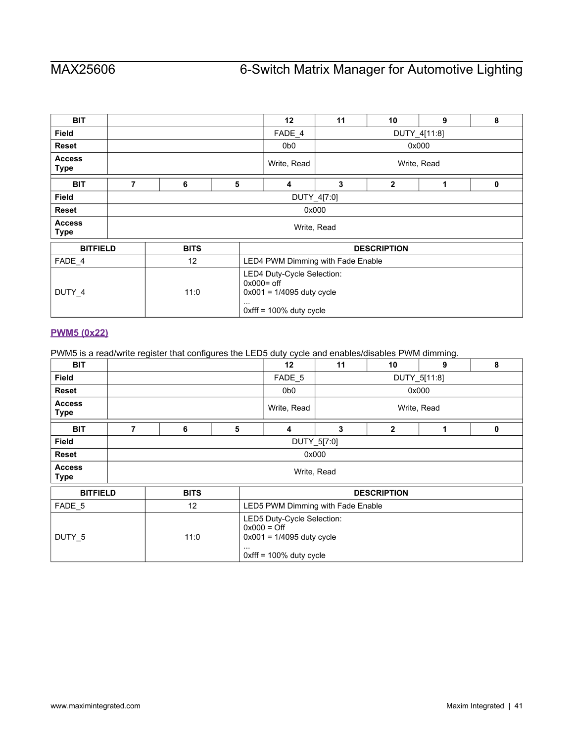| <b>BIT</b>                   |   |             |   |                                                                                                                      | 11                 | 10             | 9           | 8 |  |
|------------------------------|---|-------------|---|----------------------------------------------------------------------------------------------------------------------|--------------------|----------------|-------------|---|--|
| <b>Field</b>                 |   |             |   |                                                                                                                      | DUTY_4[11:8]       |                |             |   |  |
| Reset                        |   |             |   | 0b <sub>0</sub>                                                                                                      |                    |                | 0x000       |   |  |
| <b>Access</b><br><b>Type</b> |   |             |   | Write, Read                                                                                                          |                    |                | Write, Read |   |  |
| <b>BIT</b>                   | 7 | 6           | 5 | 4                                                                                                                    | 3                  | $\overline{2}$ | 1           | 0 |  |
| <b>Field</b>                 |   | DUTY_4[7:0] |   |                                                                                                                      |                    |                |             |   |  |
| <b>Reset</b>                 |   | 0x000       |   |                                                                                                                      |                    |                |             |   |  |
| <b>Access</b><br><b>Type</b> |   | Write, Read |   |                                                                                                                      |                    |                |             |   |  |
| <b>BITFIELD</b>              |   | <b>BITS</b> |   |                                                                                                                      | <b>DESCRIPTION</b> |                |             |   |  |
| FADE_4                       |   | 12          |   | LED4 PWM Dimming with Fade Enable                                                                                    |                    |                |             |   |  |
| DUTY_4                       |   | 11:0        |   | LED4 Duty-Cycle Selection:<br>$0x000 =$ off<br>$0x001 = 1/4095$ duty cycle<br>$\cdots$<br>$0$ xfff = 100% duty cycle |                    |                |             |   |  |

# <span id="page-40-0"></span>**[PWM5 \(0x22\)](#page-18-1)**

PWM5 is a read/write register that configures the LED5 duty cycle and enables/disables PWM dimming.

| <b>BIT</b>                   |             |             |   |                                                                                                          | 11           | 10                 | 9           | 8 |  |  |
|------------------------------|-------------|-------------|---|----------------------------------------------------------------------------------------------------------|--------------|--------------------|-------------|---|--|--|
| Field                        |             |             |   | FADE 5                                                                                                   | DUTY_5[11:8] |                    |             |   |  |  |
| <b>Reset</b>                 |             |             |   |                                                                                                          | 0x000        |                    |             |   |  |  |
| <b>Access</b><br><b>Type</b> |             |             |   | Write, Read                                                                                              |              |                    | Write, Read |   |  |  |
| <b>BIT</b>                   | 7           | 6           | 5 | 4                                                                                                        | 3            | $\overline{2}$     | 1           | 0 |  |  |
| Field                        |             | DUTY_5[7:0] |   |                                                                                                          |              |                    |             |   |  |  |
| <b>Reset</b>                 |             | 0x000       |   |                                                                                                          |              |                    |             |   |  |  |
| <b>Access</b><br><b>Type</b> | Write, Read |             |   |                                                                                                          |              |                    |             |   |  |  |
| <b>BITFIELD</b>              |             | <b>BITS</b> |   |                                                                                                          |              | <b>DESCRIPTION</b> |             |   |  |  |
| FADE_5                       |             | 12          |   | LED5 PWM Dimming with Fade Enable                                                                        |              |                    |             |   |  |  |
| DUTY_5                       |             | 11:0        |   | LED5 Duty-Cycle Selection:<br>$0x000 =$ Off<br>$0x001 = 1/4095$ duty cycle<br>$0x$ fff = 100% duty cycle |              |                    |             |   |  |  |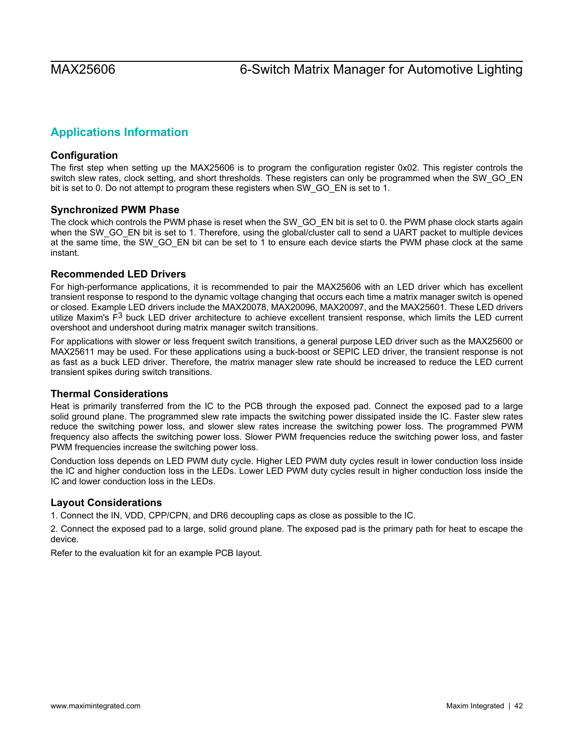# <span id="page-41-0"></span>**Applications Information**

# <span id="page-41-1"></span>**Configuration**

The first step when setting up the MAX25606 is to program the configuration register 0x02. This register controls the switch slew rates, clock setting, and short thresholds. These registers can only be programmed when the SW\_GO\_EN bit is set to 0. Do not attempt to program these registers when SW\_GO\_EN is set to 1.

# <span id="page-41-2"></span>**Synchronized PWM Phase**

The clock which controls the PWM phase is reset when the SW\_GO\_EN bit is set to 0. the PWM phase clock starts again when the SW\_GO\_EN bit is set to 1. Therefore, using the global/cluster call to send a UART packet to multiple devices at the same time, the SW\_GO\_EN bit can be set to 1 to ensure each device starts the PWM phase clock at the same instant.

# <span id="page-41-3"></span>**Recommended LED Drivers**

For high-performance applications, it is recommended to pair the MAX25606 with an LED driver which has excellent transient response to respond to the dynamic voltage changing that occurs each time a matrix manager switch is opened or closed. Example LED drivers include the MAX20078, MAX20096, MAX20097, and the MAX25601. These LED drivers utilize Maxim's  $F<sup>3</sup>$  buck LED driver architecture to achieve excellent transient response, which limits the LED current overshoot and undershoot during matrix manager switch transitions.

For applications with slower or less frequent switch transitions, a general purpose LED driver such as the MAX25600 or MAX25611 may be used. For these applications using a buck-boost or SEPIC LED driver, the transient response is not as fast as a buck LED driver. Therefore, the matrix manager slew rate should be increased to reduce the LED current transient spikes during switch transitions.

# <span id="page-41-4"></span>**Thermal Considerations**

Heat is primarily transferred from the IC to the PCB through the exposed pad. Connect the exposed pad to a large solid ground plane. The programmed slew rate impacts the switching power dissipated inside the IC. Faster slew rates reduce the switching power loss, and slower slew rates increase the switching power loss. The programmed PWM frequency also affects the switching power loss. Slower PWM frequencies reduce the switching power loss, and faster PWM frequencies increase the switching power loss.

Conduction loss depends on LED PWM duty cycle. Higher LED PWM duty cycles result in lower conduction loss inside the IC and higher conduction loss in the LEDs. Lower LED PWM duty cycles result in higher conduction loss inside the IC and lower conduction loss in the LEDs.

# <span id="page-41-5"></span>**Layout Considerations**

1. Connect the IN, VDD, CPP/CPN, and DR6 decoupling caps as close as possible to the IC.

2. Connect the exposed pad to a large, solid ground plane. The exposed pad is the primary path for heat to escape the device.

Refer to the evaluation kit for an example PCB layout.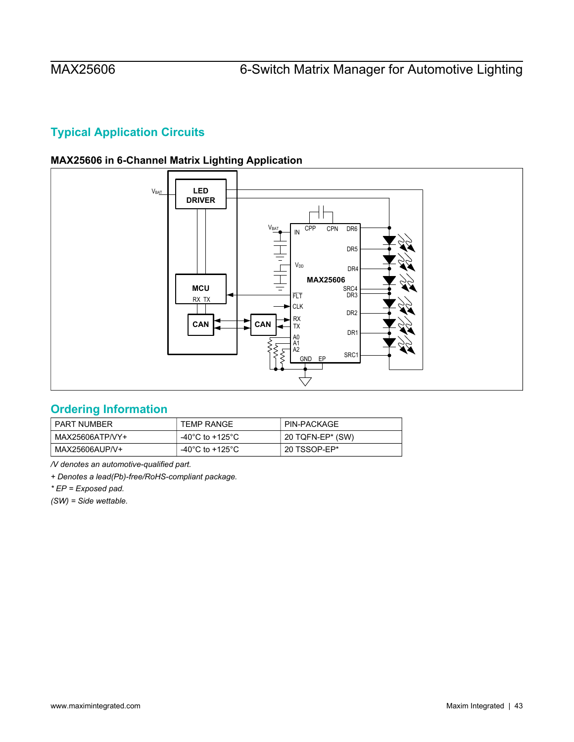# <span id="page-42-0"></span>**Typical Application Circuits**

# **MAX25606 in 6-Channel Matrix Lighting Application**

<span id="page-42-1"></span>

# <span id="page-42-2"></span>**Ordering Information**

| PART NUMBER     | <b>TEMP RANGE</b> | PIN-PACKAGE        |
|-----------------|-------------------|--------------------|
| MAX25606ATP/VY+ | -40°C to +125°C   | ' 20 TQFN-EP* (SW) |
| MAX25606AUP/V+  | -40°C to +125°C   | 20 TSSOP-EP*       |

*/V denotes an automotive-qualified part.* 

*+ Denotes a lead(Pb)-free/RoHS-compliant package.* 

*\* EP = Exposed pad.* 

*(SW) = Side wettable.*